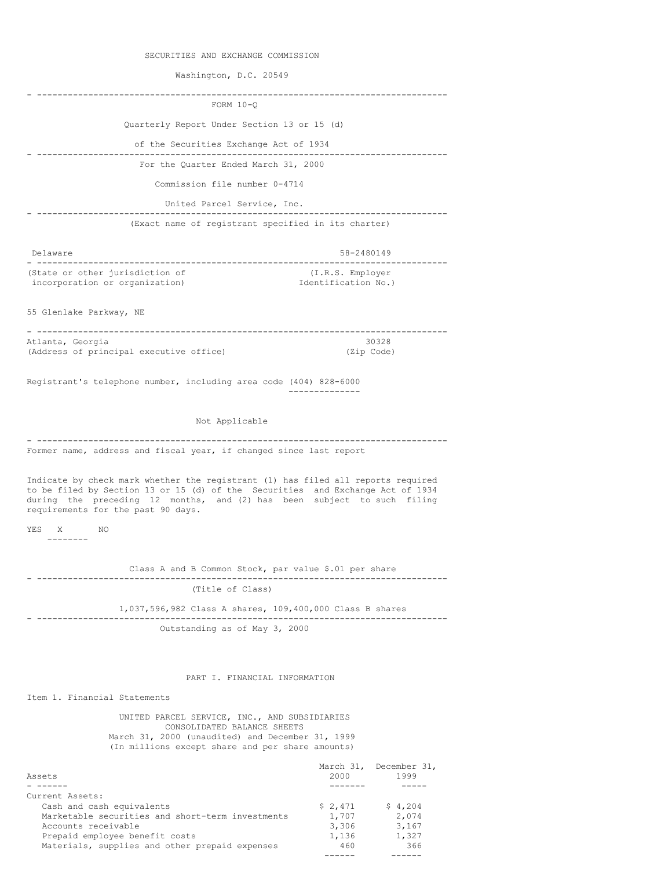SECURITIES AND EXCHANGE COMMISSION

Washington, D.C. 20549

| FORM $10-Q$                                                                                                                                                                                                                                                                         |                                                          |
|-------------------------------------------------------------------------------------------------------------------------------------------------------------------------------------------------------------------------------------------------------------------------------------|----------------------------------------------------------|
| Quarterly Report Under Section 13 or 15 (d)                                                                                                                                                                                                                                         |                                                          |
| of the Securities Exchange Act of 1934                                                                                                                                                                                                                                              | ----------------------                                   |
| For the Quarter Ended March 31, 2000                                                                                                                                                                                                                                                |                                                          |
| Commission file number 0-4714                                                                                                                                                                                                                                                       |                                                          |
| United Parcel Service, Inc.                                                                                                                                                                                                                                                         |                                                          |
|                                                                                                                                                                                                                                                                                     | (Exact name of registrant specified in its charter)      |
|                                                                                                                                                                                                                                                                                     |                                                          |
| Delaware                                                                                                                                                                                                                                                                            | 58-2480149                                               |
| (State or other jurisdiction of                                                                                                                                                                                                                                                     | (I.R.S. Employer)                                        |
| incorporation or organization)                                                                                                                                                                                                                                                      | Identification No.)                                      |
| 55 Glenlake Parkway, NE                                                                                                                                                                                                                                                             |                                                          |
| Atlanta, Georgia                                                                                                                                                                                                                                                                    | 30328                                                    |
| (Address of principal executive office)                                                                                                                                                                                                                                             | (Zip Code)                                               |
| Registrant's telephone number, including area code (404) 828-6000                                                                                                                                                                                                                   |                                                          |
| Not Applicable                                                                                                                                                                                                                                                                      |                                                          |
|                                                                                                                                                                                                                                                                                     |                                                          |
| Former name, address and fiscal year, if changed since last report                                                                                                                                                                                                                  |                                                          |
| Indicate by check mark whether the registrant (1) has filed all reports required<br>to be filed by Section 13 or 15 (d) of the Securities and Exchange Act of 1934<br>during the preceding 12 months, and (2) has been subject to such filing<br>requirements for the past 90 days. |                                                          |
| <b>YES</b><br>NO<br>X                                                                                                                                                                                                                                                               |                                                          |
| --------                                                                                                                                                                                                                                                                            |                                                          |
|                                                                                                                                                                                                                                                                                     | Class A and B Common Stock, par value \$.01 per share    |
| (Title of Class)                                                                                                                                                                                                                                                                    |                                                          |
|                                                                                                                                                                                                                                                                                     | 1,037,596,982 Class A shares, 109,400,000 Class B shares |
|                                                                                                                                                                                                                                                                                     |                                                          |
| Outstanding as of May 3, 2000                                                                                                                                                                                                                                                       |                                                          |
|                                                                                                                                                                                                                                                                                     |                                                          |
|                                                                                                                                                                                                                                                                                     | PART I. FINANCIAL INFORMATION                            |
| Item 1. Financial Statements                                                                                                                                                                                                                                                        |                                                          |
|                                                                                                                                                                                                                                                                                     |                                                          |
| UNITED PARCEL SERVICE, INC., AND SUBSIDIARIES<br>CONSOLIDATED BALANCE SHEETS                                                                                                                                                                                                        |                                                          |
| March 31, 2000 (unaudited) and December 31, 1999<br>(In millions except share and per share amounts)                                                                                                                                                                                |                                                          |
|                                                                                                                                                                                                                                                                                     | March 31. December 31.                                   |

|                                                  |         | March 31, December 31, |
|--------------------------------------------------|---------|------------------------|
| Assets                                           | 2000    | 1999                   |
|                                                  |         |                        |
| Current Assets:                                  |         |                        |
| Cash and cash equivalents                        | \$2.471 | \$4,204                |
| Marketable securities and short-term investments | 1,707   | 2,074                  |
| Accounts receivable                              | 3,306   | 3,167                  |
| Prepaid employee benefit costs                   | 1,136   | 1,327                  |
| Materials, supplies and other prepaid expenses   | 460     | 366                    |
|                                                  |         |                        |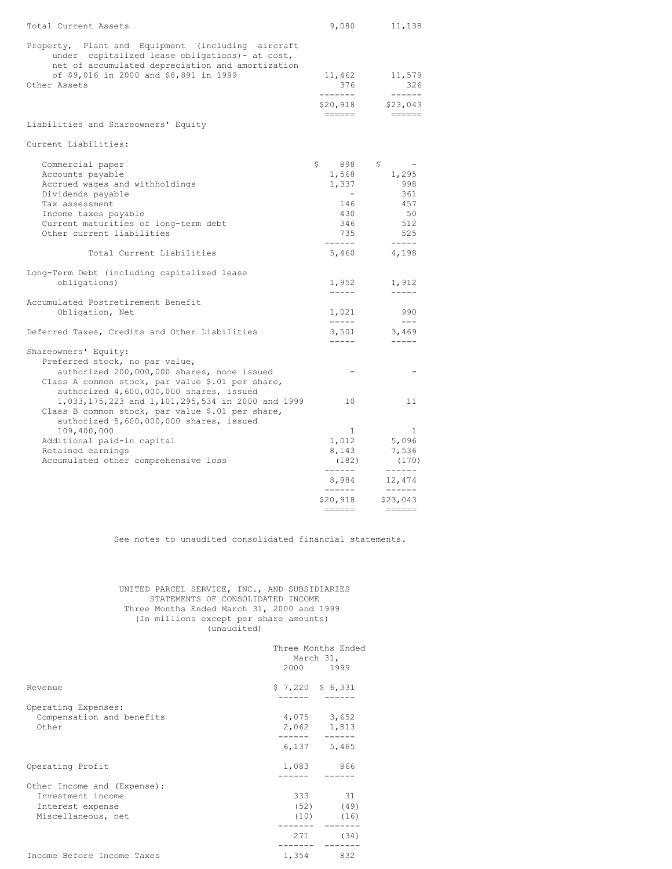| Total Current Assets                                                                                                                                                                                               | 9,080                                                                    | 11,138                                                                                                                                                                                                                                                                                                                                                                                                                                                                                                                                                                                                                                                                                                                                               |
|--------------------------------------------------------------------------------------------------------------------------------------------------------------------------------------------------------------------|--------------------------------------------------------------------------|------------------------------------------------------------------------------------------------------------------------------------------------------------------------------------------------------------------------------------------------------------------------------------------------------------------------------------------------------------------------------------------------------------------------------------------------------------------------------------------------------------------------------------------------------------------------------------------------------------------------------------------------------------------------------------------------------------------------------------------------------|
| Property, Plant and Equipment (including aircraft<br>under capitalized lease obligations) - at cost,<br>net of accumulated depreciation and amortization<br>of \$9,016 in 2000 and \$8,891 in 1999<br>Other Assets | 11,462<br>376                                                            | 11,579<br>326                                                                                                                                                                                                                                                                                                                                                                                                                                                                                                                                                                                                                                                                                                                                        |
|                                                                                                                                                                                                                    | -------<br>\$20,918<br>======                                            | \$23,043<br>$\qquad \qquad \Rightarrow \qquad \qquad \Rightarrow \qquad \qquad \Rightarrow \qquad \qquad \Rightarrow \qquad \qquad \Rightarrow \qquad \qquad \Rightarrow \qquad \qquad \Rightarrow \qquad \qquad \Rightarrow \qquad \qquad \Rightarrow \qquad \qquad \Rightarrow \qquad \qquad \Rightarrow \qquad \qquad \Rightarrow \qquad \qquad \Rightarrow \qquad \qquad \Rightarrow \qquad \qquad \Rightarrow \qquad \qquad \Rightarrow \qquad \qquad \Rightarrow \qquad \qquad \Rightarrow \qquad \qquad \Rightarrow \qquad \qquad \Rightarrow \qquad \qquad \Rightarrow \qquad \qquad \Rightarrow \qquad \qquad \Rightarrow \qquad \qquad \Rightarrow \qquad \qquad \Rightarrow \qquad \qquad \Rightarrow \qquad \qquad \Rightarrow \qquad \$ |
| Liabilities and Shareowners' Equity                                                                                                                                                                                |                                                                          |                                                                                                                                                                                                                                                                                                                                                                                                                                                                                                                                                                                                                                                                                                                                                      |
| Current Liabilities:                                                                                                                                                                                               |                                                                          |                                                                                                                                                                                                                                                                                                                                                                                                                                                                                                                                                                                                                                                                                                                                                      |
| Commercial paper<br>Accounts payable<br>Accrued wages and withholdings<br>Dividends payable<br>Tax assessment<br>Income taxes payable<br>Current maturities of long-term debt<br>Other current liabilities         | \$<br>898<br>1,568<br>1,337<br>$-$<br>146<br>430<br>346<br>735<br>------ | \$.<br>1,295<br>998<br>361<br>457<br>50<br>512<br>525<br>$- - - - -$                                                                                                                                                                                                                                                                                                                                                                                                                                                                                                                                                                                                                                                                                 |
| Total Current Liabilities                                                                                                                                                                                          | 5,460                                                                    | 4,198                                                                                                                                                                                                                                                                                                                                                                                                                                                                                                                                                                                                                                                                                                                                                |
| Long-Term Debt (including capitalized lease<br>obligations)                                                                                                                                                        | 1,952<br>$- - - - -$                                                     | 1,912<br>$\cdots \cdots \cdots$                                                                                                                                                                                                                                                                                                                                                                                                                                                                                                                                                                                                                                                                                                                      |
| Accumulated Postretirement Benefit<br>Obligation, Net                                                                                                                                                              | 1,021<br>$- - - - -$                                                     | 990<br>$\frac{1}{2}$                                                                                                                                                                                                                                                                                                                                                                                                                                                                                                                                                                                                                                                                                                                                 |
| Deferred Taxes, Credits and Other Liabilities                                                                                                                                                                      | 3,501<br>$\frac{1}{2}$                                                   | 3,469<br>$\frac{1}{2}$                                                                                                                                                                                                                                                                                                                                                                                                                                                                                                                                                                                                                                                                                                                               |
| Shareowners' Equity:<br>Preferred stock, no par value,<br>authorized 200,000,000 shares, none issued<br>Class A common stock, par value \$.01 per share,<br>authorized 4,600,000,000 shares, issued                |                                                                          |                                                                                                                                                                                                                                                                                                                                                                                                                                                                                                                                                                                                                                                                                                                                                      |
| 1,033,175,223 and 1,101,295,534 in 2000 and 1999<br>Class B common stock, par value \$.01 per share,<br>authorized 5,600,000,000 shares, issued                                                                    | 10                                                                       | 11                                                                                                                                                                                                                                                                                                                                                                                                                                                                                                                                                                                                                                                                                                                                                   |
| 109,400,000<br>Additional paid-in capital<br>Retained earnings<br>Accumulated other comprehensive loss                                                                                                             | $\mathbf{1}$<br>1,012<br>8,143<br>(182)                                  | 1<br>5,096<br>7,536<br>(170)                                                                                                                                                                                                                                                                                                                                                                                                                                                                                                                                                                                                                                                                                                                         |
|                                                                                                                                                                                                                    | ------<br>8,984                                                          | 12,474                                                                                                                                                                                                                                                                                                                                                                                                                                                                                                                                                                                                                                                                                                                                               |
|                                                                                                                                                                                                                    | ------<br>\$20,918<br>======                                             | \$23,043                                                                                                                                                                                                                                                                                                                                                                                                                                                                                                                                                                                                                                                                                                                                             |

See notes to unaudited consolidated financial statements.

### UNITED PARCEL SERVICE, INC., AND SUBSIDIARIES STATEMENTS OF CONSOLIDATED INCOME Three Months Ended March 31, 2000 and 1999 (In millions except per share amounts) (unaudited)

|                                                                                            | Three Months Ended<br>March 31,<br>2000 1999 |                 |
|--------------------------------------------------------------------------------------------|----------------------------------------------|-----------------|
| Revenue                                                                                    | $$7,220$ $$6,331$                            |                 |
| Operating Expenses:<br>Compensation and benefits<br>Other                                  | 4,075 3,652<br>2,062 1,813                   |                 |
| Operating Profit                                                                           | $6,137$ 5,465<br>1,083                       | 866             |
| Other Income and (Expense):<br>Investment income<br>Interest expense<br>Miscellaneous, net | 333<br>$(52)$ $(49)$<br>$(10)$ $(16)$        | $\overline{31}$ |
|                                                                                            | 271                                          | (34)            |
| Income Before Income Taxes                                                                 | 1,354                                        | 832             |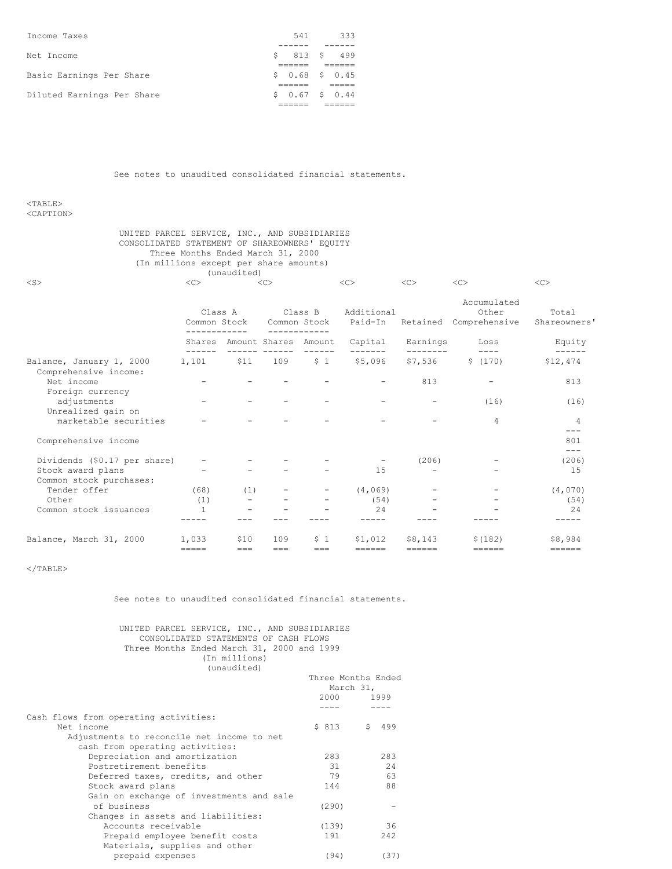|  | $$0.67$ $$0.44$                          |
|--|------------------------------------------|
|  |                                          |
|  |                                          |
|  |                                          |
|  |                                          |
|  |                                          |
|  |                                          |
|  | -333                                     |
|  | 541<br>$$813$ \$ 499<br>$$0.68$$ \$ 0.45 |

See notes to unaudited consolidated financial statements.

<TABLE>

<CAPTION>

### UNITED PARCEL SERVICE, INC., AND SUBSIDIARIES CONSOLIDATED STATEMENT OF SHAREOWNERS' EQUITY Three Months Ended March 31, 2000 (In millions except per share amounts) (unaudited)

| $<$ S $>$                                         | <<                                      |         | <<             |                                         | <<                         | $\langle C \rangle$      | <<                                             | <<                      |
|---------------------------------------------------|-----------------------------------------|---------|----------------|-----------------------------------------|----------------------------|--------------------------|------------------------------------------------|-------------------------|
|                                                   | Class A<br>Common Stock<br>------------ |         |                | Class B<br>Common Stock<br>------------ | Additional<br>Paid-In      |                          | Accumulated<br>Other<br>Retained Comprehensive | Total<br>Shareowners'   |
|                                                   | $- - - - - -$                           |         | ------- ------ | Shares Amount Shares Amount             | Capital<br>$- - - - - - -$ | Earnings<br>---------    | Loss<br>$- - - -$                              | Equity<br>$- - - - - -$ |
| Balance, January 1, 2000<br>Comprehensive income: | 1,101 \$11                              |         | 109            | \$1                                     | \$5,096                    | \$7,536                  | \$(170)                                        | \$12,474                |
| Net income<br>Foreign currency                    |                                         |         |                |                                         |                            | 813                      |                                                | 813                     |
| adjustments<br>Unrealized gain on                 |                                         |         |                |                                         |                            |                          | (16)                                           | (16)                    |
| marketable securities                             |                                         |         |                |                                         |                            |                          | $\overline{4}$                                 | 4<br>$---$              |
| Comprehensive income                              |                                         |         |                |                                         |                            |                          |                                                | 801<br>$- - -$          |
| Dividends (\$0.17 per share)                      |                                         |         |                |                                         | $\overline{\phantom{a}}$   | (206)                    | $\overline{\phantom{0}}$                       | (206)                   |
| Stock award plans<br>Common stock purchases:      |                                         |         |                |                                         | 15                         |                          |                                                | 15                      |
| Tender offer                                      | (68)                                    | (1)     |                | $\overline{\phantom{a}}$                | (4, 069)                   | $\overline{\phantom{0}}$ | -                                              | (4,070)                 |
| Other                                             | (1)                                     |         |                |                                         | (54)                       |                          |                                                | (54)                    |
| Common stock issuances                            | $\mathbf{1}$                            |         |                |                                         | 24                         |                          |                                                | 2.4                     |
| Balance, March 31, 2000                           | 1,033                                   | \$10    | 109            | 5 <sub>1</sub>                          | \$1,012                    | \$8,143                  | \$(182)                                        | \$8,984                 |
|                                                   | =====                                   | $= = =$ | $=$ $=$        | ===                                     | $=$ $=$ $=$ $=$ $=$        | ======                   | ======                                         | ======                  |

 $<$ /TABLE>

See notes to unaudited consolidated financial statements.

UNITED PARCEL SERVICE, INC., AND SUBSIDIARIES CONSOLIDATED STATEMENTS OF CASH FLOWS Three Months Ended March 31, 2000 and 1999 (In millions) (unaudited)

|                                            |           | Three Months Ended |
|--------------------------------------------|-----------|--------------------|
|                                            | March 31, |                    |
|                                            | 2000      | 1999               |
|                                            |           |                    |
| Cash flows from operating activities:      |           |                    |
| Net income                                 | \$813     | S.<br>499          |
| Adjustments to reconcile net income to net |           |                    |
| cash from operating activities:            |           |                    |
| Depreciation and amortization              | 283       | 283                |
| Postretirement benefits                    | 31        | 24                 |
| Deferred taxes, credits, and other         | 79        | 63                 |
| Stock award plans                          | 144       | 88                 |
| Gain on exchange of investments and sale   |           |                    |
| of business                                | (290)     |                    |
| Changes in assets and liabilities:         |           |                    |
| Accounts receivable                        | (139)     | 36                 |
| Prepaid employee benefit costs             | 191       | 2.42               |
| Materials, supplies and other              |           |                    |
| prepaid expenses                           | (94)      | (37)               |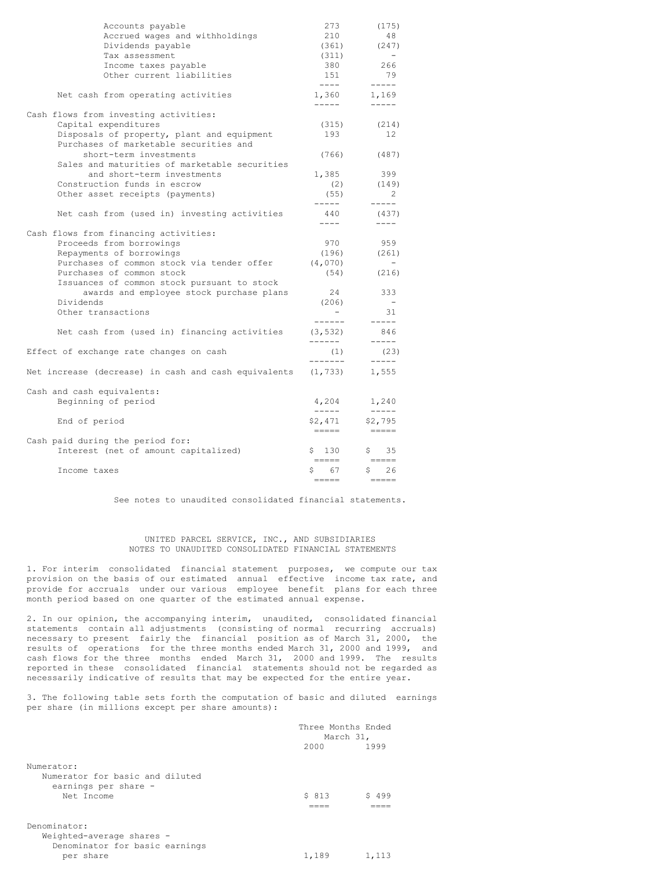| Accounts payable<br>Accrued wages and withholdings<br>Dividends payable<br>Tax assessment<br>Income taxes payable<br>Other current liabilities        | 273<br>210<br>(361)<br>(311)<br>380<br>151<br>$- - - - -$                                                                                                                                                                                                                                                                                                                                               | (175)<br>48<br>(247)<br>266<br>79<br>$- - - - - -$      |
|-------------------------------------------------------------------------------------------------------------------------------------------------------|---------------------------------------------------------------------------------------------------------------------------------------------------------------------------------------------------------------------------------------------------------------------------------------------------------------------------------------------------------------------------------------------------------|---------------------------------------------------------|
| Net cash from operating activities                                                                                                                    | 1,360<br>$- - - - -$                                                                                                                                                                                                                                                                                                                                                                                    | 1,169<br>$- - - - -$                                    |
| Cash flows from investing activities:<br>Capital expenditures<br>Disposals of property, plant and equipment<br>Purchases of marketable securities and | (315)<br>193                                                                                                                                                                                                                                                                                                                                                                                            | (214)<br>12                                             |
| short-term investments<br>Sales and maturities of marketable securities                                                                               | (766)                                                                                                                                                                                                                                                                                                                                                                                                   | (487)                                                   |
| and short-term investments                                                                                                                            | 1,385                                                                                                                                                                                                                                                                                                                                                                                                   | 399                                                     |
| Construction funds in escrow<br>Other asset receipts (payments)                                                                                       | (2)<br>(55)                                                                                                                                                                                                                                                                                                                                                                                             | (149)<br>$\mathcal{L}$                                  |
| Net cash from (used in) investing activities                                                                                                          | -----<br>440<br>$- - - - -$                                                                                                                                                                                                                                                                                                                                                                             | $- - - - -$<br>(437)<br>$- - - -$                       |
| Cash flows from financing activities:                                                                                                                 |                                                                                                                                                                                                                                                                                                                                                                                                         |                                                         |
| Proceeds from borrowings                                                                                                                              | 970                                                                                                                                                                                                                                                                                                                                                                                                     | 959                                                     |
| Repayments of borrowings                                                                                                                              | (196)                                                                                                                                                                                                                                                                                                                                                                                                   | (261)                                                   |
| Purchases of common stock via tender offer<br>Purchases of common stock                                                                               | (4, 070)<br>(54)                                                                                                                                                                                                                                                                                                                                                                                        | -<br>(216)                                              |
| Issuances of common stock pursuant to stock<br>awards and employee stock purchase plans<br>Dividends<br>Other transactions                            | 24<br>(206)<br>------                                                                                                                                                                                                                                                                                                                                                                                   | 333<br>31<br>$- - - - -$                                |
| Net cash from (used in) financing activities                                                                                                          | (3, 532)<br>-------                                                                                                                                                                                                                                                                                                                                                                                     | 846<br>$- - - - -$                                      |
| Effect of exchange rate changes on cash                                                                                                               | (1)<br>--------                                                                                                                                                                                                                                                                                                                                                                                         | (23)<br>$- - - - -$                                     |
| Net increase (decrease) in cash and cash equivalents                                                                                                  | (1, 733)                                                                                                                                                                                                                                                                                                                                                                                                | 1,555                                                   |
| Cash and cash equivalents:<br>Beginning of period                                                                                                     | 4,204<br>$- - - - -$                                                                                                                                                                                                                                                                                                                                                                                    | 1,240<br>$- - - - - -$                                  |
| End of period                                                                                                                                         | \$2,471<br>$\frac{1}{1} \frac{1}{1} \frac{1}{1} \frac{1}{1} \frac{1}{1} \frac{1}{1} \frac{1}{1} \frac{1}{1} \frac{1}{1} \frac{1}{1} \frac{1}{1} \frac{1}{1} \frac{1}{1} \frac{1}{1} \frac{1}{1} \frac{1}{1} \frac{1}{1} \frac{1}{1} \frac{1}{1} \frac{1}{1} \frac{1}{1} \frac{1}{1} \frac{1}{1} \frac{1}{1} \frac{1}{1} \frac{1}{1} \frac{1}{1} \frac{1}{1} \frac{1}{1} \frac{1}{1} \frac{1}{1} \frac{$ | \$2,795<br>$\qquad \qquad \displaystyle =\qquad \qquad$ |
| Cash paid during the period for:                                                                                                                      |                                                                                                                                                                                                                                                                                                                                                                                                         |                                                         |
| Interest (net of amount capitalized)                                                                                                                  | S.<br>130<br>$=$ $=$ $=$ $=$                                                                                                                                                                                                                                                                                                                                                                            | \$<br>35                                                |
| Income taxes                                                                                                                                          | 67<br>\$                                                                                                                                                                                                                                                                                                                                                                                                | \$<br>26                                                |

See notes to unaudited consolidated financial statements.

### UNITED PARCEL SERVICE, INC., AND SUBSIDIARIES NOTES TO UNAUDITED CONSOLIDATED FINANCIAL STATEMENTS

1. For interim consolidated financial statement purposes, we compute our tax provision on the basis of our estimated annual effective income tax rate, and provide for accruals under our various employee benefit plans for each three month period based on one quarter of the estimated annual expense.

2. In our opinion, the accompanying interim, unaudited, consolidated financial statements contain all adjustments (consisting of normal recurring accruals) necessary to present fairly the financial position as of March 31, 2000, the results of operations for the three months ended March 31, 2000 and 1999, and cash flows for the three months ended March 31, 2000 and 1999. The results reported in these consolidated financial statements should not be regarded as necessarily indicative of results that may be expected for the entire year.

3. The following table sets forth the computation of basic and diluted earnings per share (in millions except per share amounts):

|                                                                                     | Three Months Ended<br>March 31, |       |
|-------------------------------------------------------------------------------------|---------------------------------|-------|
|                                                                                     | 2000                            | 1999  |
| Numerator:<br>Numerator for basic and diluted<br>earnings per share -<br>Net Income | \$813                           | 499   |
| Denominator:                                                                        |                                 |       |
| Weighted-average shares -                                                           |                                 |       |
| Denominator for basic earnings                                                      |                                 |       |
| per share                                                                           | 1,189                           | 1,113 |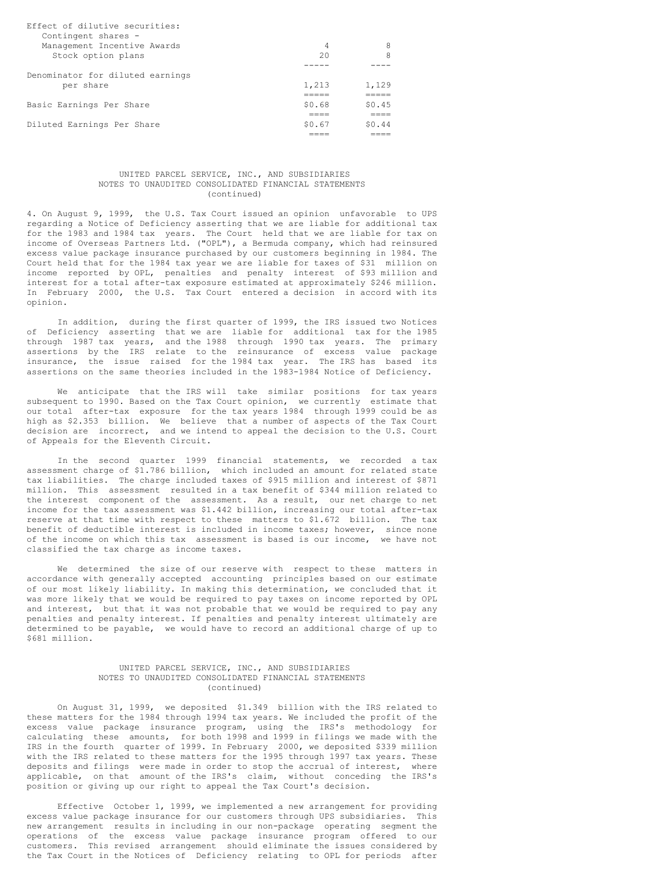| Effect of dilutive securities:   |        |        |
|----------------------------------|--------|--------|
| Contingent shares -              |        |        |
| Management Incentive Awards      | 4      | 8      |
| Stock option plans               | 20     | 8      |
|                                  |        |        |
| Denominator for diluted earnings |        |        |
| per share                        | 1,213  | 1,129  |
|                                  |        |        |
| Basic Earnings Per Share         | \$0.68 | \$0.45 |
|                                  |        |        |
| Diluted Earnings Per Share       | \$0.67 | SO.44  |
|                                  |        |        |

### UNITED PARCEL SERVICE, INC., AND SUBSIDIARIES NOTES TO UNAUDITED CONSOLIDATED FINANCIAL STATEMENTS (continued)

4. On August 9, 1999, the U.S. Tax Court issued an opinion unfavorable to UPS regarding a Notice of Deficiency asserting that we are liable for additional tax for the 1983 and 1984 tax years. The Court held that we are liable for tax on income of Overseas Partners Ltd. ("OPL"), a Bermuda company, which had reinsured excess value package insurance purchased by our customers beginning in 1984. The Court held that for the 1984 tax year we are liable for taxes of \$31 million on income reported by OPL, penalties and penalty interest of \$93 million and interest for a total after-tax exposure estimated at approximately \$246 million. In February 2000, the U.S. Tax Court entered a decision in accord with its opinion.

In addition, during the first quarter of 1999, the IRS issued two Notices of Deficiency asserting that we are liable for additional tax for the 1985 through 1987 tax years, and the 1988 through 1990 tax years. The primary assertions by the IRS relate to the reinsurance of excess value package insurance, the issue raised for the 1984 tax year. The IRS has based its assertions on the same theories included in the 1983-1984 Notice of Deficiency.

We anticipate that the IRS will take similar positions for tax years subsequent to 1990. Based on the Tax Court opinion, we currently estimate that our total after-tax exposure for the tax years 1984 through 1999 could be as high as \$2.353 billion. We believe that a number of aspects of the Tax Court decision are incorrect, and we intend to appeal the decision to the U.S. Court of Appeals for the Eleventh Circuit.

In the second quarter 1999 financial statements, we recorded a tax assessment charge of \$1.786 billion, which included an amount for related state tax liabilities. The charge included taxes of \$915 million and interest of \$871 million. This assessment resulted in a tax benefit of \$344 million related to the interest component of the assessment. As a result, our net charge to net income for the tax assessment was \$1.442 billion, increasing our total after-tax reserve at that time with respect to these matters to \$1.672 billion. The tax benefit of deductible interest is included in income taxes; however, since none of the income on which this tax assessment is based is our income, we have not classified the tax charge as income taxes.

We determined the size of our reserve with respect to these matters in accordance with generally accepted accounting principles based on our estimate of our most likely liability. In making this determination, we concluded that it was more likely that we would be required to pay taxes on income reported by OPL and interest, but that it was not probable that we would be required to pay any penalties and penalty interest. If penalties and penalty interest ultimately are determined to be payable, we would have to record an additional charge of up to \$681 million.

### UNITED PARCEL SERVICE, INC., AND SUBSIDIARIES NOTES TO UNAUDITED CONSOLIDATED FINANCIAL STATEMENTS (continued)

On August 31, 1999, we deposited \$1.349 billion with the IRS related to these matters for the 1984 through 1994 tax years. We included the profit of the excess value package insurance program, using the IRS's methodology for calculating these amounts, for both 1998 and 1999 in filings we made with the IRS in the fourth quarter of 1999. In February 2000, we deposited \$339 million with the IRS related to these matters for the 1995 through 1997 tax years. These deposits and filings were made in order to stop the accrual of interest, where applicable, on that amount of the IRS's claim, without conceding the IRS's position or giving up our right to appeal the Tax Court's decision.

Effective October 1, 1999, we implemented a new arrangement for providing excess value package insurance for our customers through UPS subsidiaries. This new arrangement results in including in our non-package operating segment the operations of the excess value package insurance program offered to our customers. This revised arrangement should eliminate the issues considered by the Tax Court in the Notices of Deficiency relating to OPL for periods after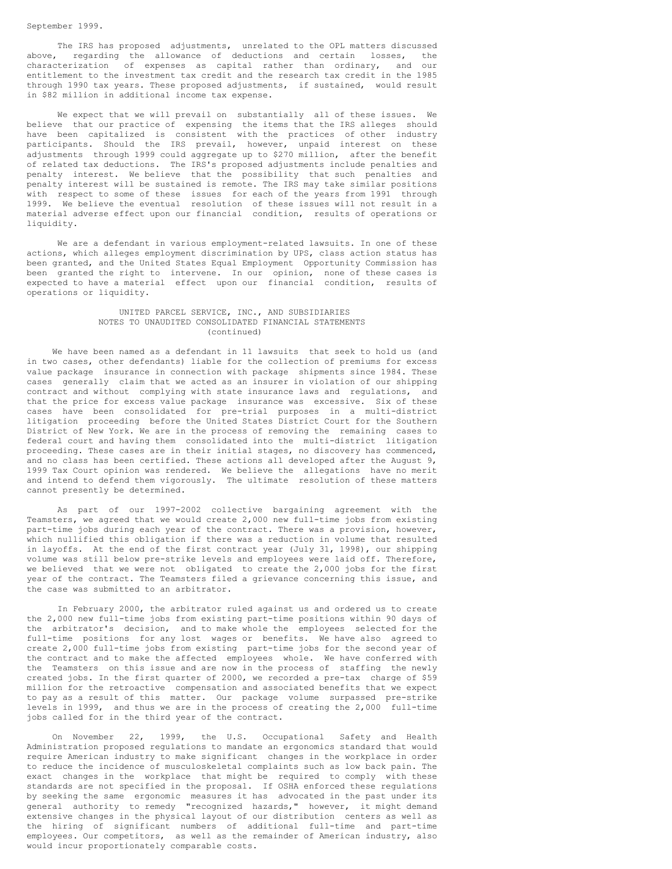The IRS has proposed adjustments, unrelated to the OPL matters discussed above, regarding the allowance of deductions and certain losses, the characterization of expenses as capital rather than ordinary, and our entitlement to the investment tax credit and the research tax credit in the 1985 through 1990 tax years. These proposed adjustments, if sustained, would result in \$82 million in additional income tax expense.

We expect that we will prevail on substantially all of these issues. We believe that our practice of expensing the items that the IRS alleges should have been capitalized is consistent with the practices of other industry participants. Should the IRS prevail, however, unpaid interest on these adjustments through 1999 could aggregate up to \$270 million, after the benefit of related tax deductions. The IRS's proposed adjustments include penalties and penalty interest. We believe that the possibility that such penalties and penalty interest will be sustained is remote. The IRS may take similar positions with respect to some of these issues for each of the years from 1991 through 1999. We believe the eventual resolution of these issues will not result in a material adverse effect upon our financial condition, results of operations or liquidity.

We are a defendant in various employment-related lawsuits. In one of these actions, which alleges employment discrimination by UPS, class action status has been granted, and the United States Equal Employment Opportunity Commission has been granted the right to intervene. In our opinion, none of these cases is expected to have a material effect upon our financial condition, results of operations or liquidity.

### UNITED PARCEL SERVICE, INC., AND SUBSIDIARIES NOTES TO UNAUDITED CONSOLIDATED FINANCIAL STATEMENTS (continued)

We have been named as a defendant in 11 lawsuits that seek to hold us (and in two cases, other defendants) liable for the collection of premiums for excess value package insurance in connection with package shipments since 1984. These cases generally claim that we acted as an insurer in violation of our shipping contract and without complying with state insurance laws and regulations, and that the price for excess value package insurance was excessive. Six of these cases have been consolidated for pre-trial purposes in a multi-district litigation proceeding before the United States District Court for the Southern District of New York. We are in the process of removing the remaining cases to federal court and having them consolidated into the multi-district litigation proceeding. These cases are in their initial stages, no discovery has commenced, and no class has been certified. These actions all developed after the August  $9$ , 1999 Tax Court opinion was rendered. We believe the allegations have no merit and intend to defend them vigorously. The ultimate resolution of these matters cannot presently be determined.

As part of our 1997-2002 collective bargaining agreement with the Teamsters, we agreed that we would create 2,000 new full-time jobs from existing part-time jobs during each year of the contract. There was a provision, however, which nullified this obligation if there was a reduction in volume that resulted in layoffs. At the end of the first contract year (July 31, 1998), our shipping volume was still below pre-strike levels and employees were laid off. Therefore, we believed that we were not obligated to create the 2,000 jobs for the first year of the contract. The Teamsters filed a grievance concerning this issue, and the case was submitted to an arbitrator.

In February 2000, the arbitrator ruled against us and ordered us to create the 2,000 new full-time jobs from existing part-time positions within 90 days of the arbitrator's decision, and to make whole the employees selected for the full-time positions for any lost wages or benefits. We have also agreed to create 2,000 full-time jobs from existing part-time jobs for the second year of the contract and to make the affected employees whole. We have conferred with the Teamsters on this issue and are now in the process of staffing the newly created jobs. In the first quarter of 2000, we recorded a pre-tax charge of \$59 million for the retroactive compensation and associated benefits that we expect to pay as a result of this matter. Our package volume surpassed pre-strike levels in 1999, and thus we are in the process of creating the 2,000 full-time jobs called for in the third year of the contract.

On November 22, 1999, the U.S. Occupational Safety and Health Administration proposed regulations to mandate an ergonomics standard that would require American industry to make significant changes in the workplace in order to reduce the incidence of musculoskeletal complaints such as low back pain. The exact changes in the workplace that might be required to comply with these standards are not specified in the proposal. If OSHA enforced these regulations by seeking the same ergonomic measures it has advocated in the past under its general authority to remedy "recognized hazards," however, it might demand extensive changes in the physical layout of our distribution centers as well as the hiring of significant numbers of additional full-time and part-time employees. Our competitors, as well as the remainder of American industry, also would incur proportionately comparable costs.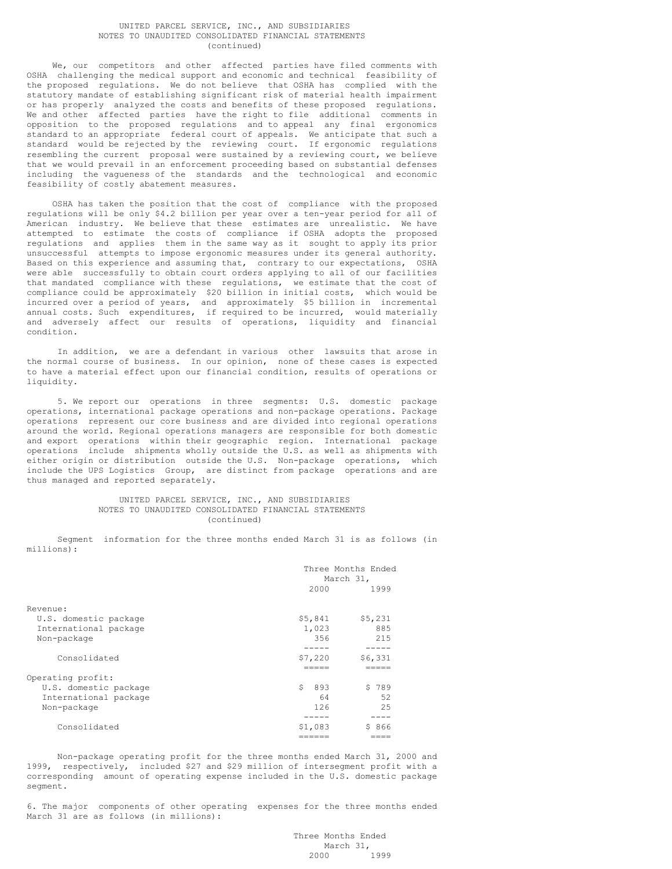### UNITED PARCEL SERVICE, INC., AND SUBSIDIARIES NOTES TO UNAUDITED CONSOLIDATED FINANCIAL STATEMENTS (continued)

We, our competitors and other affected parties have filed comments with OSHA challenging the medical support and economic and technical feasibility of the proposed regulations. We do not believe that OSHA has complied with the statutory mandate of establishing significant risk of material health impairment or has properly analyzed the costs and benefits of these proposed regulations. We and other affected parties have the right to file additional comments in opposition to the proposed regulations and to appeal any final ergonomics standard to an appropriate federal court of appeals. We anticipate that such a standard would be rejected by the reviewing court. If ergonomic regulations resembling the current proposal were sustained by a reviewing court, we believe that we would prevail in an enforcement proceeding based on substantial defenses including the vagueness of the standards and the technological and economic feasibility of costly abatement measures.

OSHA has taken the position that the cost of compliance with the proposed regulations will be only \$4.2 billion per year over a ten-year period for all of American industry. We believe that these estimates are unrealistic. We have attempted to estimate the costs of compliance if OSHA adopts the proposed regulations and applies them in the same way as it sought to apply its prior unsuccessful attempts to impose ergonomic measures under its general authority. Based on this experience and assuming that, contrary to our expectations, OSHA were able successfully to obtain court orders applying to all of our facilities that mandated compliance with these regulations, we estimate that the cost of compliance could be approximately \$20 billion in initial costs, which would be incurred over a period of years, and approximately \$5 billion in incremental annual costs. Such expenditures, if required to be incurred, would materially and adversely affect our results of operations, liquidity and financial condition.

In addition, we are a defendant in various other lawsuits that arose in the normal course of business. In our opinion, none of these cases is expected to have a material effect upon our financial condition, results of operations or liquidity.

5. We report our operations in three segments: U.S. domestic package operations, international package operations and non-package operations. Package operations represent our core business and are divided into regional operations around the world. Regional operations managers are responsible for both domestic and export operations within their geographic region. International package operations include shipments wholly outside the U.S. as well as shipments with either origin or distribution outside the U.S. Non-package operations, which include the UPS Logistics Group, are distinct from package operations and are thus managed and reported separately.

### UNITED PARCEL SERVICE, INC., AND SUBSIDIARIES NOTES TO UNAUDITED CONSOLIDATED FINANCIAL STATEMENTS (continued)

Segment information for the three months ended March 31 is as follows (in millions):

|                       | Three Months Ended<br>March 31, |           |
|-----------------------|---------------------------------|-----------|
|                       | 2000                            | 1999      |
| Revenue:              |                                 |           |
| U.S. domestic package | \$5,841                         | \$5,231   |
| International package | 1,023                           | 885       |
| Non-package           | 356                             | 215       |
|                       |                                 |           |
| Consolidated          | \$7,220                         | \$6,331   |
|                       |                                 |           |
| Operating profit:     |                                 |           |
| U.S. domestic package | Ŝ.<br>893                       | \$789     |
| International package | 64                              | 52        |
| Non-package           | 126                             | 2.5       |
|                       |                                 |           |
| Consolidated          | \$1,083                         | 866<br>Ŝ. |
|                       |                                 |           |

Non-package operating profit for the three months ended March 31, 2000 and 1999, respectively, included \$27 and \$29 million of intersegment profit with a corresponding amount of operating expense included in the U.S. domestic package segment.

6. The major components of other operating expenses for the three months ended March 31 are as follows (in millions):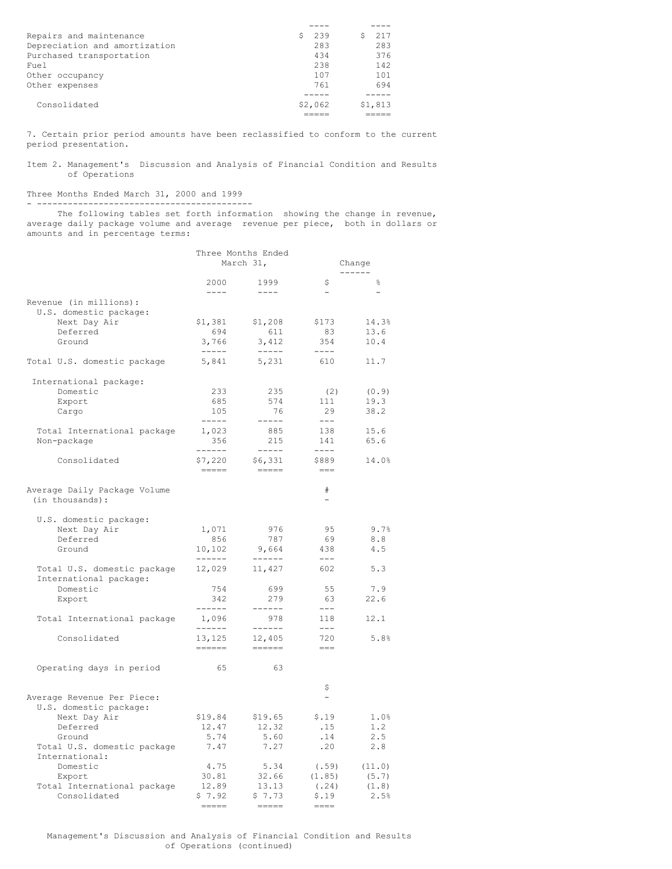| Repairs and maintenance       | -239<br>s | 217     |
|-------------------------------|-----------|---------|
| Depreciation and amortization | 283       | 283     |
| Purchased transportation      | 434       | 376     |
| Fuel                          | 238       | 142     |
| Other occupancy               | 107       | 101     |
| Other expenses                | 761       | 694     |
|                               |           |         |
| Consolidated                  | \$2,062   | \$1,813 |
|                               |           |         |

7. Certain prior period amounts have been reclassified to conform to the current period presentation.

Item 2. Management's Discussion and Analysis of Financial Condition and Results of Operations

#### Three Months Ended March 31, 2000 and 1999 - ------------------------------------------

The following tables set forth information showing the change in revenue, average daily package volume and average revenue per piece, both in dollars or amounts and in percentage terms:

|                                                  |                                                                        | Three Months Ended<br>March 31,                                                                                                                                                                                                                                                                                                                                                                                                                                                          | Change                      |                |  |
|--------------------------------------------------|------------------------------------------------------------------------|------------------------------------------------------------------------------------------------------------------------------------------------------------------------------------------------------------------------------------------------------------------------------------------------------------------------------------------------------------------------------------------------------------------------------------------------------------------------------------------|-----------------------------|----------------|--|
|                                                  | 2000                                                                   | 1999                                                                                                                                                                                                                                                                                                                                                                                                                                                                                     | \$                          | 옹              |  |
|                                                  | $- - - -$                                                              | $- - - -$                                                                                                                                                                                                                                                                                                                                                                                                                                                                                |                             |                |  |
| Revenue (in millions):<br>U.S. domestic package: |                                                                        |                                                                                                                                                                                                                                                                                                                                                                                                                                                                                          |                             |                |  |
| Next Day Air                                     | \$1,381                                                                | \$1,208                                                                                                                                                                                                                                                                                                                                                                                                                                                                                  | \$173                       | 14.3%          |  |
| Deferred                                         | 694                                                                    | 611                                                                                                                                                                                                                                                                                                                                                                                                                                                                                      | 83                          | 13.6           |  |
| Ground                                           | 3,766<br>$\begin{tabular}{cc} - & - & - \\ - & - & - \\ \end{tabular}$ | 3,412<br>$\begin{tabular}{cc} - & - & - \\ - & - & - \\ \end{tabular}$                                                                                                                                                                                                                                                                                                                                                                                                                   | 354<br>$--- -$              | 10.4           |  |
| Total U.S. domestic package                      | 5,841                                                                  | 5,231                                                                                                                                                                                                                                                                                                                                                                                                                                                                                    | 610                         | 11.7           |  |
| International package:                           |                                                                        |                                                                                                                                                                                                                                                                                                                                                                                                                                                                                          |                             |                |  |
| Domestic                                         | 233                                                                    | 235                                                                                                                                                                                                                                                                                                                                                                                                                                                                                      | (2)                         | (0.9)          |  |
| Export<br>Cargo                                  | 685<br>105                                                             | 574<br>76                                                                                                                                                                                                                                                                                                                                                                                                                                                                                | 111<br>29                   | 19.3<br>38.2   |  |
|                                                  | $- - - - -$                                                            | $-----$                                                                                                                                                                                                                                                                                                                                                                                                                                                                                  | $---$                       |                |  |
| Total International package                      | 1,023                                                                  | 885                                                                                                                                                                                                                                                                                                                                                                                                                                                                                      | 138                         | 15.6           |  |
| Non-package                                      | 356                                                                    | 215                                                                                                                                                                                                                                                                                                                                                                                                                                                                                      | 141                         | 65.6           |  |
|                                                  | ------                                                                 | $- - - - -$                                                                                                                                                                                                                                                                                                                                                                                                                                                                              | $- - - -$                   |                |  |
| Consolidated                                     | \$7,220<br>$\qquad \qquad \displaystyle =\!=\!=\!=\!=\!=$              | \$6,331<br>$\qquad \qquad \displaystyle =\!=\!=\!=\!=\!=$                                                                                                                                                                                                                                                                                                                                                                                                                                | \$889<br>$\qquad \qquad ==$ | 14.0%          |  |
| Average Daily Package Volume<br>(in thousands):  |                                                                        |                                                                                                                                                                                                                                                                                                                                                                                                                                                                                          | $\#$<br>Ξ.                  |                |  |
| U.S. domestic package:                           |                                                                        |                                                                                                                                                                                                                                                                                                                                                                                                                                                                                          |                             |                |  |
| Next Day Air                                     | 1,071                                                                  | 976                                                                                                                                                                                                                                                                                                                                                                                                                                                                                      | 95                          | 9.7%           |  |
| Deferred                                         | 856                                                                    | 787                                                                                                                                                                                                                                                                                                                                                                                                                                                                                      | 69                          | 8.8            |  |
| Ground                                           | 10,102<br>------                                                       | 9,664<br>$- - - - - -$                                                                                                                                                                                                                                                                                                                                                                                                                                                                   | 438<br>$\qquad \qquad - -$  | 4.5            |  |
| Total U.S. domestic package                      | 12,029                                                                 | 11,427                                                                                                                                                                                                                                                                                                                                                                                                                                                                                   | 602                         | 5.3            |  |
| International package:                           |                                                                        |                                                                                                                                                                                                                                                                                                                                                                                                                                                                                          |                             |                |  |
| Domestic<br>Export                               | 754<br>342                                                             | 699<br>279                                                                                                                                                                                                                                                                                                                                                                                                                                                                               | 55<br>63                    | 7.9<br>22.6    |  |
|                                                  | $- - - - - -$                                                          | ------                                                                                                                                                                                                                                                                                                                                                                                                                                                                                   | $---$                       |                |  |
| Total International package                      | 1,096<br>------                                                        | 978<br>$- - - - - -$                                                                                                                                                                                                                                                                                                                                                                                                                                                                     | 118<br>$---$                | 12.1           |  |
| Consolidated                                     | 13,125                                                                 | 12,405                                                                                                                                                                                                                                                                                                                                                                                                                                                                                   | 720                         | 5.8%           |  |
|                                                  | $=$ $=$ $=$ $=$ $=$                                                    | $\begin{tabular}{ll} \multicolumn{3}{l}{} & \multicolumn{3}{l}{} & \multicolumn{3}{l}{} \\ \multicolumn{3}{l}{} & \multicolumn{3}{l}{} & \multicolumn{3}{l}{} \\ \multicolumn{3}{l}{} & \multicolumn{3}{l}{} & \multicolumn{3}{l}{} \\ \multicolumn{3}{l}{} & \multicolumn{3}{l}{} & \multicolumn{3}{l}{} \\ \multicolumn{3}{l}{} & \multicolumn{3}{l}{} & \multicolumn{3}{l}{} \\ \multicolumn{3}{l}{} & \multicolumn{3}{l}{} & \multicolumn{3}{l}{} \\ \multicolumn{3}{l}{} & \multic$ | $= == =$                    |                |  |
| Operating days in period                         | 65                                                                     | 63                                                                                                                                                                                                                                                                                                                                                                                                                                                                                       |                             |                |  |
|                                                  |                                                                        |                                                                                                                                                                                                                                                                                                                                                                                                                                                                                          | \$                          |                |  |
| Average Revenue Per Piece:                       |                                                                        |                                                                                                                                                                                                                                                                                                                                                                                                                                                                                          |                             |                |  |
| U.S. domestic package:                           |                                                                        |                                                                                                                                                                                                                                                                                                                                                                                                                                                                                          |                             |                |  |
| Next Day Air<br>Deferred                         | \$19.84<br>12.47                                                       | \$19.65<br>12.32                                                                                                                                                                                                                                                                                                                                                                                                                                                                         | \$.19<br>.15                | 1.0%<br>1.2    |  |
| Ground                                           | 5.74                                                                   | 5.60                                                                                                                                                                                                                                                                                                                                                                                                                                                                                     | .14                         | 2.5            |  |
| Total U.S. domestic package                      | 7.47                                                                   | 7.27                                                                                                                                                                                                                                                                                                                                                                                                                                                                                     | .20                         | 2.8            |  |
| International:                                   |                                                                        |                                                                                                                                                                                                                                                                                                                                                                                                                                                                                          |                             |                |  |
| Domestic                                         | 4.75                                                                   | 5.34                                                                                                                                                                                                                                                                                                                                                                                                                                                                                     | (.59)                       | (11.0)         |  |
| Export                                           | 30.81<br>12.89                                                         | 32.66<br>13.13                                                                                                                                                                                                                                                                                                                                                                                                                                                                           | (1.85)<br>(.24)             | (5.7)<br>(1.8) |  |
| Total International package<br>Consolidated      | \$7.92                                                                 | \$7.73                                                                                                                                                                                                                                                                                                                                                                                                                                                                                   | \$.19                       | 2.5%           |  |
|                                                  | $=$ $=$ $=$ $=$                                                        | $\qquad \qquad \displaystyle =\qquad \qquad \qquad$                                                                                                                                                                                                                                                                                                                                                                                                                                      | $==-+$                      |                |  |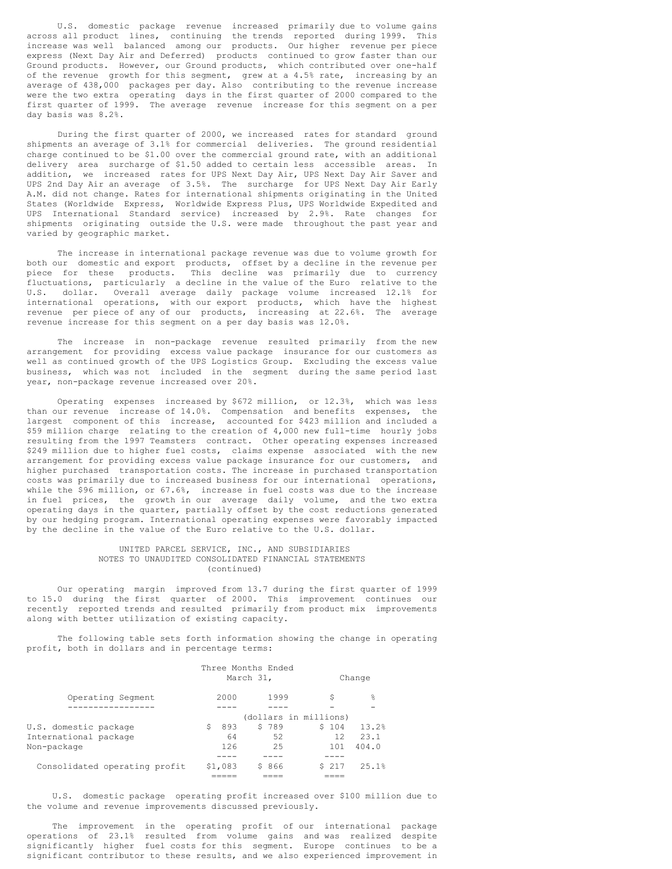U.S. domestic package revenue increased primarily due to volume gains across all product lines, continuing the trends reported during 1999. This increase was well balanced among our products. Our higher revenue per piece express (Next Day Air and Deferred) products continued to grow faster than our Ground products. However, our Ground products, which contributed over one-half of the revenue growth for this segment, grew at a 4.5% rate, increasing by an average of 438,000 packages per day. Also contributing to the revenue increase were the two extra operating days in the first quarter of 2000 compared to the first quarter of 1999. The average revenue increase for this segment on a per day basis was 8.2%.

During the first quarter of 2000, we increased rates for standard ground shipments an average of 3.1% for commercial deliveries. The ground residential charge continued to be \$1.00 over the commercial ground rate, with an additional delivery area surcharge of \$1.50 added to certain less accessible areas. In addition, we increased rates for UPS Next Day Air, UPS Next Day Air Saver and UPS 2nd Day Air an average of 3.5%. The surcharge for UPS Next Day Air Early A.M. did not change. Rates for international shipments originating in the United States (Worldwide Express, Worldwide Express Plus, UPS Worldwide Expedited and UPS International Standard service) increased by 2.9%. Rate changes for shipments originating outside the U.S. were made throughout the past year and varied by geographic market.

The increase in international package revenue was due to volume growth for both our domestic and export products, offset by a decline in the revenue per piece for these products. This decline was primarily due to currency fluctuations, particularly a decline in the value of the Euro relative to the U.S. dollar. Overall average daily package volume increased 12.1% for international operations, with our export products, which have the highest revenue per piece of any of our products, increasing at 22.6%. The average revenue increase for this segment on a per day basis was 12.0%.

The increase in non-package revenue resulted primarily from the new arrangement for providing excess value package insurance for our customers as well as continued growth of the UPS Logistics Group. Excluding the excess value business, which was not included in the segment during the same period last year, non-package revenue increased over 20%.

Operating expenses increased by \$672 million, or 12.3%, which was less than our revenue increase of 14.0%. Compensation and benefits expenses, the largest component of this increase, accounted for \$423 million and included a \$59 million charge relating to the creation of 4,000 new full-time hourly jobs resulting from the 1997 Teamsters contract. Other operating expenses increased \$249 million due to higher fuel costs, claims expense associated with the new arrangement for providing excess value package insurance for our customers, and higher purchased transportation costs. The increase in purchased transportation costs was primarily due to increased business for our international operations, while the \$96 million, or 67.6%, increase in fuel costs was due to the increase in fuel prices, the growth in our average daily volume, and the two extra operating days in the quarter, partially offset by the cost reductions generated by our hedging program. International operating expenses were favorably impacted by the decline in the value of the Euro relative to the U.S. dollar.

### UNITED PARCEL SERVICE, INC., AND SUBSIDIARIES NOTES TO UNAUDITED CONSOLIDATED FINANCIAL STATEMENTS (continued)

Our operating margin improved from 13.7 during the first quarter of 1999 to 15.0 during the first quarter of 2000. This improvement continues our recently reported trends and resulted primarily from product mix improvements along with better utilization of existing capacity.

The following table sets forth information showing the change in operating profit, both in dollars and in percentage terms:

|                               |           | Three Months Ended<br>March 31, |      |        | Change |
|-------------------------------|-----------|---------------------------------|------|--------|--------|
| Operating Segment             | 2000      |                                 | 1999 | \$     | 욲      |
|                               |           |                                 |      |        |        |
|                               |           | (dollars in millions)           |      |        |        |
| U.S. domestic package         | \$<br>893 | \$789                           |      | \$104  | 13.2%  |
| International package         | 64        |                                 | 52   | 12.    | 23.1   |
| Non-package                   | 126       |                                 | 2.5  | 101    | 404.0  |
|                               |           |                                 |      |        |        |
| Consolidated operating profit | \$1,083   | \$ 866                          |      | \$ 217 | 25.1%  |
|                               |           |                                 |      |        |        |

U.S. domestic package operating profit increased over \$100 million due to the volume and revenue improvements discussed previously.

The improvement in the operating profit of our international package operations of 23.1% resulted from volume gains and was realized despite significantly higher fuel costs for this segment. Europe continues to be a significant contributor to these results, and we also experienced improvement in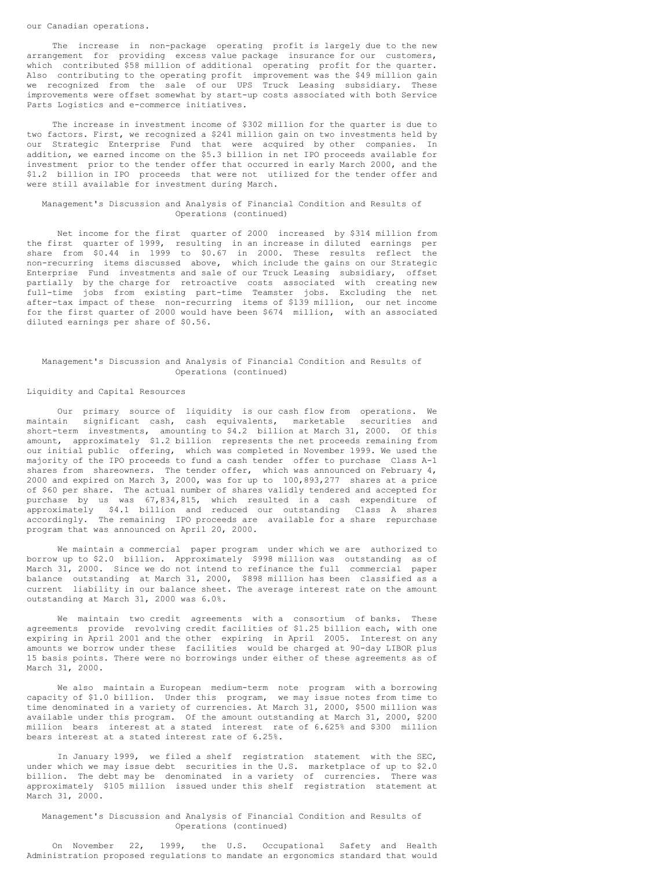#### our Canadian operations.

The increase in non-package operating profit is largely due to the new arrangement for providing excess value package insurance for our customers, which contributed \$58 million of additional operating profit for the quarter. Also contributing to the operating profit improvement was the \$49 million gain we recognized from the sale of our UPS Truck Leasing subsidiary. These improvements were offset somewhat by start-up costs associated with both Service Parts Logistics and e-commerce initiatives.

The increase in investment income of \$302 million for the quarter is due to two factors. First, we recognized a \$241 million gain on two investments held by our Strategic Enterprise Fund that were acquired by other companies. In addition, we earned income on the \$5.3 billion in net IPO proceeds available for investment prior to the tender offer that occurred in early March 2000, and the \$1.2 billion in IPO proceeds that were not utilized for the tender offer and were still available for investment during March.

#### Management's Discussion and Analysis of Financial Condition and Results of Operations (continued)

Net income for the first quarter of 2000 increased by \$314 million from the first quarter of 1999, resulting in an increase in diluted earnings per share from \$0.44 in 1999 to \$0.67 in 2000. These results reflect the non-recurring items discussed above, which include the gains on our Strategic Enterprise Fund investments and sale of our Truck Leasing subsidiary, offset partially by the charge for retroactive costs associated with creating new full-time jobs from existing part-time Teamster jobs. Excluding the net after-tax impact of these non-recurring items of \$139 million, our net income for the first quarter of 2000 would have been \$674 million, with an associated diluted earnings per share of \$0.56.

### Management's Discussion and Analysis of Financial Condition and Results of Operations (continued)

### Liquidity and Capital Resources

Our primary source of liquidity is our cash flow from operations. We maintain significant cash, cash equivalents, marketable securities and short-term investments, amounting to \$4.2 billion at March 31, 2000. Of this amount, approximately \$1.2 billion represents the net proceeds remaining from our initial public offering, which was completed in November 1999. We used the majority of the IPO proceeds to fund a cash tender offer to purchase Class A-1 shares from shareowners. The tender offer, which was announced on February 4, 2000 and expired on March 3, 2000, was for up to 100,893,277 shares at a price of \$60 per share. The actual number of shares validly tendered and accepted for purchase by us was 67,834,815, which resulted in a cash expenditure of approximately \$4.1 billion and reduced our outstanding Class A shares accordingly. The remaining IPO proceeds are available for a share repurchase program that was announced on April 20, 2000.

We maintain a commercial paper program under which we are authorized to borrow up to \$2.0 billion. Approximately \$998 million was outstanding as of March 31, 2000. Since we do not intend to refinance the full commercial paper balance outstanding at March 31, 2000, \$898 million has been classified as a current liability in our balance sheet. The average interest rate on the amount outstanding at March 31, 2000 was 6.0%.

We maintain two credit agreements with a consortium of banks. These agreements provide revolving credit facilities of \$1.25 billion each, with one expiring in April 2001 and the other expiring in April 2005. Interest on any amounts we borrow under these facilities would be charged at 90-day LIBOR plus 15 basis points. There were no borrowings under either of these agreements as of March 31, 2000.

We also maintain a European medium-term note program with a borrowing capacity of \$1.0 billion. Under this program, we may issue notes from time to time denominated in a variety of currencies. At March 31, 2000, \$500 million was available under this program. Of the amount outstanding at March 31, 2000, \$200 million bears interest at a stated interest rate of 6.625% and \$300 million bears interest at a stated interest rate of 6.25%.

In January 1999, we filed a shelf registration statement with the SEC, under which we may issue debt securities in the U.S. marketplace of up to \$2.0 billion. The debt may be denominated in a variety of currencies. There was approximately \$105 million issued under this shelf registration statement at March 31, 2000.

Management's Discussion and Analysis of Financial Condition and Results of Operations (continued)

On November 22, 1999, the U.S. Occupational Safety and Health Administration proposed regulations to mandate an ergonomics standard that would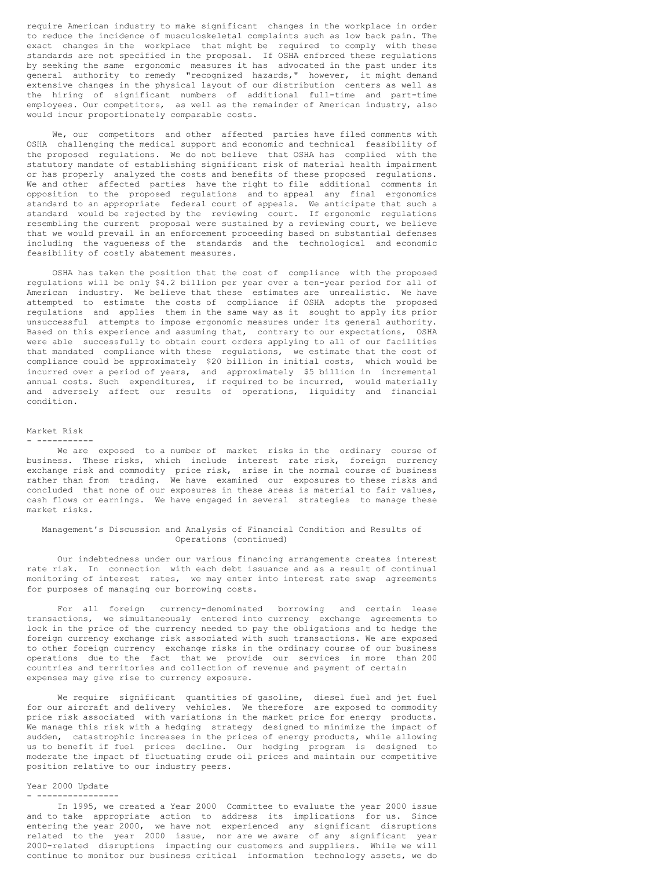require American industry to make significant changes in the workplace in order to reduce the incidence of musculoskeletal complaints such as low back pain. The exact changes in the workplace that might be required to comply with these standards are not specified in the proposal. If OSHA enforced these regulations by seeking the same ergonomic measures it has advocated in the past under its general authority to remedy "recognized hazards," however, it might demand extensive changes in the physical layout of our distribution centers as well as the hiring of significant numbers of additional full-time and part-time employees. Our competitors, as well as the remainder of American industry, also would incur proportionately comparable costs.

We, our competitors and other affected parties have filed comments with OSHA challenging the medical support and economic and technical feasibility of the proposed regulations. We do not believe that OSHA has complied with the statutory mandate of establishing significant risk of material health impairment or has properly analyzed the costs and benefits of these proposed regulations. We and other affected parties have the right to file additional comments in opposition to the proposed regulations and to appeal any final ergonomics standard to an appropriate federal court of appeals. We anticipate that such a standard would be rejected by the reviewing court. If ergonomic regulations resembling the current proposal were sustained by a reviewing court, we believe that we would prevail in an enforcement proceeding based on substantial defenses including the vagueness of the standards and the technological and economic feasibility of costly abatement measures.

OSHA has taken the position that the cost of compliance with the proposed regulations will be only \$4.2 billion per year over a ten-year period for all of American industry. We believe that these estimates are unrealistic. We have attempted to estimate the costs of compliance if OSHA adopts the proposed regulations and applies them in the same way as it sought to apply its prior unsuccessful attempts to impose ergonomic measures under its general authority. Based on this experience and assuming that, contrary to our expectations, OSHA were able successfully to obtain court orders applying to all of our facilities that mandated compliance with these regulations, we estimate that the cost of compliance could be approximately \$20 billion in initial costs, which would be incurred over a period of years, and approximately \$5 billion in incremental annual costs. Such expenditures, if required to be incurred, would materially and adversely affect our results of operations, liquidity and financial condition.

#### Market Risk

#### - -----------

We are exposed to a number of market risks in the ordinary course of business. These risks, which include interest rate risk, foreign currency exchange risk and commodity price risk, arise in the normal course of business rather than from trading. We have examined our exposures to these risks and concluded that none of our exposures in these areas is material to fair values, cash flows or earnings. We have engaged in several strategies to manage these market risks.

### Management's Discussion and Analysis of Financial Condition and Results of Operations (continued)

Our indebtedness under our various financing arrangements creates interest rate risk. In connection with each debt issuance and as a result of continual monitoring of interest rates, we may enter into interest rate swap agreements for purposes of managing our borrowing costs.

For all foreign currency-denominated borrowing and certain lease transactions, we simultaneously entered into currency exchange agreements to lock in the price of the currency needed to pay the obligations and to hedge the foreign currency exchange risk associated with such transactions. We are exposed to other foreign currency exchange risks in the ordinary course of our business operations due to the fact that we provide our services in more than 200 countries and territories and collection of revenue and payment of certain expenses may give rise to currency exposure.

We require significant quantities of gasoline, diesel fuel and jet fuel for our aircraft and delivery vehicles. We therefore are exposed to commodity price risk associated with variations in the market price for energy products. We manage this risk with a hedging strategy designed to minimize the impact of sudden, catastrophic increases in the prices of energy products, while allowing us to benefit if fuel prices decline. Our hedging program is designed to moderate the impact of fluctuating crude oil prices and maintain our competitive position relative to our industry peers.

#### Year 2000 Update - ----------------

In 1995, we created a Year 2000 Committee to evaluate the year 2000 issue and to take appropriate action to address its implications for us. Since entering the year 2000, we have not experienced any significant disruptions related to the year 2000 issue, nor are we aware of any significant year 2000-related disruptions impacting our customers and suppliers. While we will continue to monitor our business critical information technology assets, we do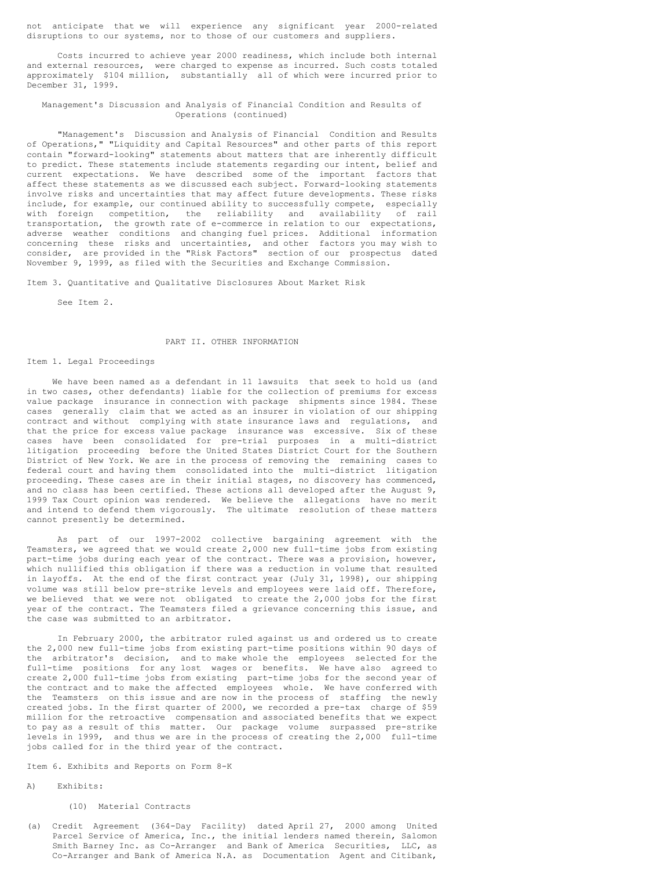not anticipate that we will experience any significant year 2000-related disruptions to our systems, nor to those of our customers and suppliers.

Costs incurred to achieve year 2000 readiness, which include both internal and external resources, were charged to expense as incurred. Such costs totaled approximately \$104 million, substantially all of which were incurred prior to December 31, 1999.

## Management's Discussion and Analysis of Financial Condition and Results of Operations (continued)

"Management's Discussion and Analysis of Financial Condition and Results of Operations," "Liquidity and Capital Resources" and other parts of this report contain "forward-looking" statements about matters that are inherently difficult to predict. These statements include statements regarding our intent, belief and current expectations. We have described some of the important factors that affect these statements as we discussed each subject. Forward-looking statements involve risks and uncertainties that may affect future developments. These risks include, for example, our continued ability to successfully compete, especially with foreign competition, the reliability and availability of rail transportation, the growth rate of e-commerce in relation to our expectations, adverse weather conditions and changing fuel prices. Additional information concerning these risks and uncertainties, and other factors you may wish to consider, are provided in the "Risk Factors" section of our prospectus dated November 9, 1999, as filed with the Securities and Exchange Commission.

Item 3. Quantitative and Qualitative Disclosures About Market Risk

See Item 2.

### PART II. OTHER INFORMATION

#### Item 1. Legal Proceedings

We have been named as a defendant in 11 lawsuits that seek to hold us (and in two cases, other defendants) liable for the collection of premiums for excess value package insurance in connection with package shipments since 1984. These cases generally claim that we acted as an insurer in violation of our shipping contract and without complying with state insurance laws and regulations, and that the price for excess value package insurance was excessive. Six of these cases have been consolidated for pre-trial purposes in a multi-district litigation proceeding before the United States District Court for the Southern District of New York. We are in the process of removing the remaining cases to federal court and having them consolidated into the multi-district litigation proceeding. These cases are in their initial stages, no discovery has commenced, and no class has been certified. These actions all developed after the August 9, 1999 Tax Court opinion was rendered. We believe the allegations have no merit and intend to defend them vigorously. The ultimate resolution of these matters cannot presently be determined.

As part of our 1997-2002 collective bargaining agreement with the Teamsters, we agreed that we would create 2,000 new full-time jobs from existing part-time jobs during each year of the contract. There was a provision, however, which nullified this obligation if there was a reduction in volume that resulted in layoffs. At the end of the first contract year (July 31, 1998), our shipping volume was still below pre-strike levels and employees were laid off. Therefore, we believed that we were not obligated to create the 2,000 jobs for the first year of the contract. The Teamsters filed a grievance concerning this issue, and the case was submitted to an arbitrator.

In February 2000, the arbitrator ruled against us and ordered us to create the 2,000 new full-time jobs from existing part-time positions within 90 days of the arbitrator's decision, and to make whole the employees selected for the full-time positions for any lost wages or benefits. We have also agreed to create 2,000 full-time jobs from existing part-time jobs for the second year of the contract and to make the affected employees whole. We have conferred with the Teamsters on this issue and are now in the process of staffing the newly created jobs. In the first quarter of 2000, we recorded a pre-tax charge of \$59 million for the retroactive compensation and associated benefits that we expect to pay as a result of this matter. Our package volume surpassed pre-strike levels in 1999, and thus we are in the process of creating the 2,000 full-time jobs called for in the third year of the contract.

Item 6. Exhibits and Reports on Form 8-K

#### A) Exhibits:

#### (10) Material Contracts

(a) Credit Agreement (364-Day Facility) dated April 27, 2000 among United Parcel Service of America, Inc., the initial lenders named therein, Salomon Smith Barney Inc. as Co-Arranger and Bank of America Securities, LLC, as Co-Arranger and Bank of America N.A. as Documentation Agent and Citibank,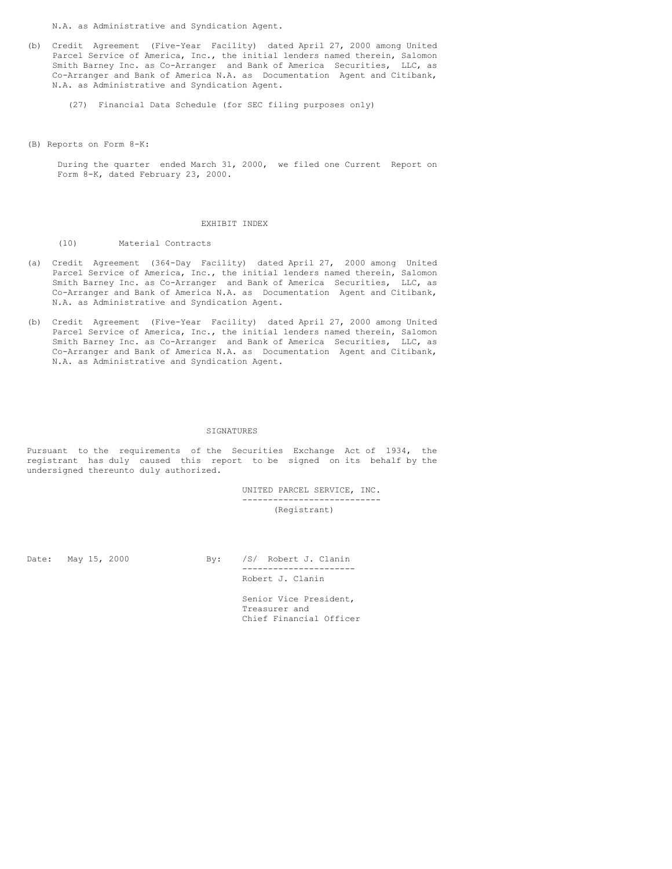N.A. as Administrative and Syndication Agent.

- (b) Credit Agreement (Five-Year Facility) dated April 27, 2000 among United Parcel Service of America, Inc., the initial lenders named therein, Salomon Smith Barney Inc. as Co-Arranger and Bank of America Securities, LLC, as Co-Arranger and Bank of America N.A. as Documentation Agent and Citibank, N.A. as Administrative and Syndication Agent.
	- (27) Financial Data Schedule (for SEC filing purposes only)
- (B) Reports on Form 8-K:

During the quarter ended March 31, 2000, we filed one Current Report on Form 8-K, dated February 23, 2000.

#### EXHIBIT INDEX

(10) Material Contracts

- (a) Credit Agreement (364-Day Facility) dated April 27, 2000 among United Parcel Service of America, Inc., the initial lenders named therein, Salomon Smith Barney Inc. as Co-Arranger and Bank of America Securities, LLC, as Co-Arranger and Bank of America N.A. as Documentation Agent and Citibank, N.A. as Administrative and Syndication Agent.
- (b) Credit Agreement (Five-Year Facility) dated April 27, 2000 among United Parcel Service of America, Inc., the initial lenders named therein, Salomon Smith Barney Inc. as Co-Arranger and Bank of America Securities, LLC, as Co-Arranger and Bank of America N.A. as Documentation Agent and Citibank, N.A. as Administrative and Syndication Agent.

#### SIGNATURES

Pursuant to the requirements of the Securities Exchange Act of 1934, the registrant has duly caused this report to be signed on its behalf by the undersigned thereunto duly authorized.

> UNITED PARCEL SERVICE, INC. --------------------------- (Registrant)

Date: May 15, 2000 By: /S/ Robert J. Clanin ---------------------- Robert J. Clanin

> Senior Vice President, Treasurer and Chief Financial Officer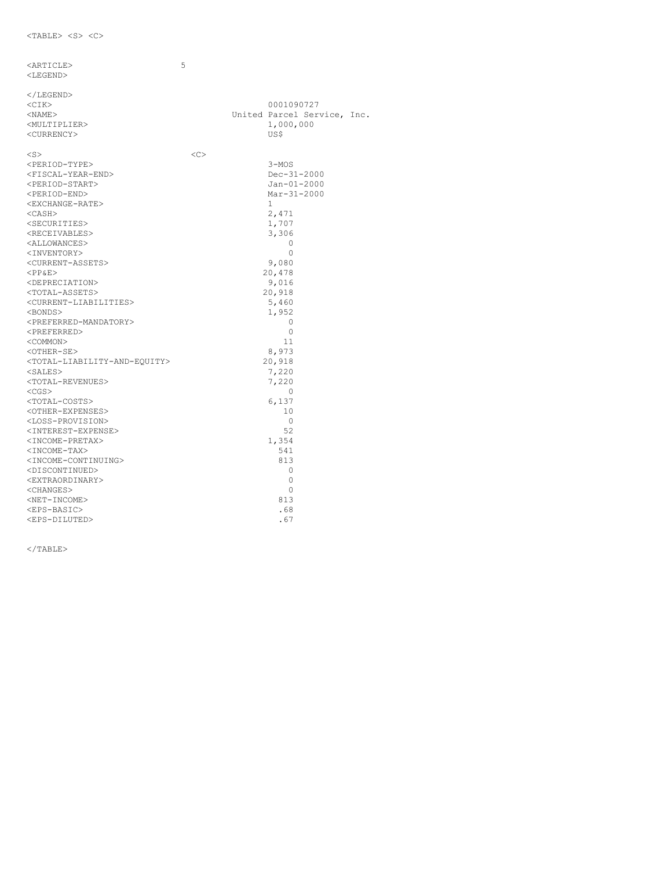| <article></article>                                       | 5 |               |                             |  |
|-----------------------------------------------------------|---|---------------|-----------------------------|--|
| <legend></legend>                                         |   |               |                             |  |
|                                                           |   |               |                             |  |
| $\langle$ /LEGEND>                                        |   |               |                             |  |
| $<$ CIK $>$                                               |   |               | 0001090727                  |  |
| $<$ NAME $>$                                              |   |               | United Parcel Service, Inc. |  |
| <multiplier></multiplier>                                 |   |               | 1,000,000                   |  |
| <currency></currency>                                     |   |               | US\$                        |  |
|                                                           |   |               |                             |  |
| $<$ S $>$                                                 |   | < <sub></sub> |                             |  |
| <period-type></period-type>                               |   |               | $3 - MOS$                   |  |
| <fiscal-year-end></fiscal-year-end>                       |   |               | $Dec-31-2000$               |  |
| <period-start></period-start>                             |   |               | $Jan-01-2000$               |  |
| <period-end></period-end>                                 |   |               | $Mar-31-2000$               |  |
| <exchange-rate></exchange-rate>                           |   |               | $\mathbf{1}$                |  |
| $<$ CASH $>$                                              |   |               | 2,471                       |  |
| <securities></securities>                                 |   |               | 1,707                       |  |
| <receivables></receivables>                               |   |               | 3,306                       |  |
| <allowances></allowances>                                 |   |               | 0                           |  |
| <inventory></inventory>                                   |   |               | $\Omega$                    |  |
| <current-assets></current-assets>                         |   |               | 9,080                       |  |
| $<$ PP&E>                                                 |   |               | 20,478                      |  |
| <depreciation></depreciation>                             |   |               | 9,016                       |  |
| <total-assets></total-assets>                             |   |               | 20,918                      |  |
| <current-liabilities></current-liabilities>               |   |               | 5,460                       |  |
| <bonds></bonds>                                           |   |               | 1,952                       |  |
| <preferred-mandatory></preferred-mandatory>               |   |               | 0                           |  |
| <preferred></preferred>                                   |   |               | $\circ$                     |  |
| <common></common>                                         |   |               | 11                          |  |
| <other-se></other-se>                                     |   |               | 8,973                       |  |
| <total-liability-and-equity></total-liability-and-equity> |   |               | 20,918                      |  |
| $<$ SALES $>$                                             |   |               | 7,220                       |  |
| <total-revenues></total-revenues>                         |   |               | 7,220                       |  |
| $<$ CGS $>$                                               |   |               | 0                           |  |
| <total-costs></total-costs>                               |   |               | 6,137                       |  |
| <other-expenses></other-expenses>                         |   |               | 10                          |  |
| <loss-provision></loss-provision>                         |   |               | 0                           |  |
| <interest-expense></interest-expense>                     |   |               | 52                          |  |
| <income-pretax></income-pretax>                           |   |               | 1,354                       |  |
| <income-tax></income-tax>                                 |   |               | 541                         |  |
| <income-continuing></income-continuing>                   |   |               | 813                         |  |
| <discontinued></discontinued>                             |   |               | 0                           |  |
| <extraordinary></extraordinary>                           |   |               | 0                           |  |
| $<$ CHANGES $>$                                           |   |               | $\Omega$                    |  |
| <net-income></net-income>                                 |   |               | 813                         |  |
| <eps-basic></eps-basic>                                   |   |               | .68                         |  |
| <eps-diluted></eps-diluted>                               |   |               | .67                         |  |

 $\rm <$  /TABLE>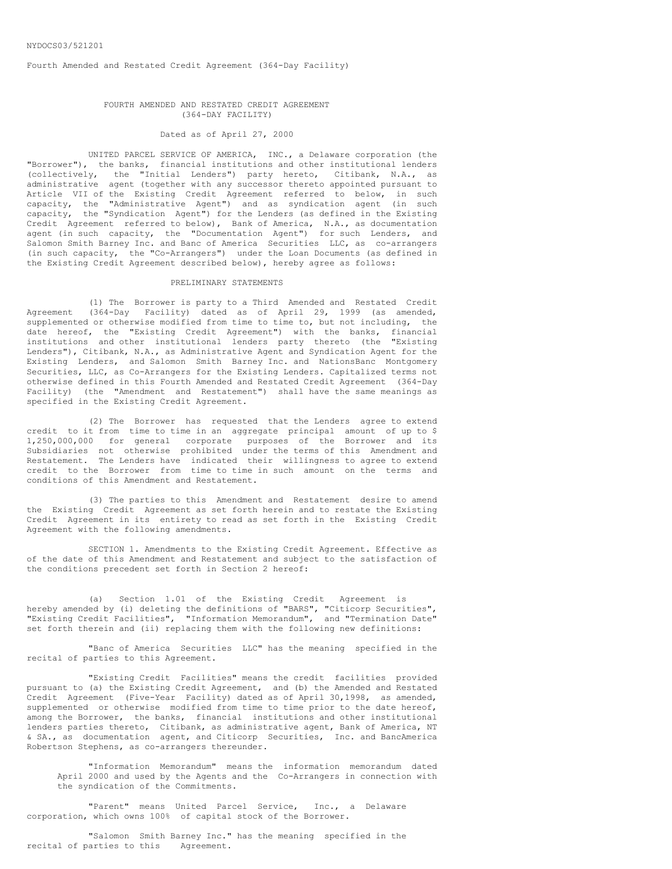Fourth Amended and Restated Credit Agreement (364-Day Facility)

#### FOURTH AMENDED AND RESTATED CREDIT AGREEMENT (364-DAY FACILITY)

# Dated as of April 27, 2000

UNITED PARCEL SERVICE OF AMERICA, INC., a Delaware corporation (the "Borrower"), the banks, financial institutions and other institutional lenders (collectively, the "Initial Lenders") party hereto, Citibank, N.A., as administrative agent (together with any successor thereto appointed pursuant to Article VII of the Existing Credit Agreement referred to below, in such capacity, the "Administrative Agent") and as syndication agent (in such capacity, the "Syndication Agent") for the Lenders (as defined in the Existing Credit Agreement referred to below), Bank of America, N.A., as documentation agent (in such capacity, the "Documentation Agent") for such Lenders, and Salomon Smith Barney Inc. and Banc of America Securities LLC, as co-arrangers (in such capacity, the "Co-Arrangers") under the Loan Documents (as defined in the Existing Credit Agreement described below), hereby agree as follows:

### PRELIMINARY STATEMENTS

(1) The Borrower is party to a Third Amended and Restated Credit Agreement (364-Day Facility) dated as of April 29, 1999 (as amended, supplemented or otherwise modified from time to time to, but not including, the date hereof, the "Existing Credit Agreement") with the banks, financial institutions and other institutional lenders party thereto (the "Existing Lenders"), Citibank, N.A., as Administrative Agent and Syndication Agent for the Existing Lenders, and Salomon Smith Barney Inc. and NationsBanc Montgomery Securities, LLC, as Co-Arrangers for the Existing Lenders. Capitalized terms not otherwise defined in this Fourth Amended and Restated Credit Agreement (364-Day Facility) (the "Amendment and Restatement") shall have the same meanings as specified in the Existing Credit Agreement.

(2) The Borrower has requested that the Lenders agree to extend credit to it from time to time in an aggregate principal amount of up to \$ 1,250,000,000 for general corporate purposes of the Borrower and its Subsidiaries not otherwise prohibited under the terms of this Amendment and Restatement. The Lenders have indicated their willingness to agree to extend credit to the Borrower from time to time in such amount on the terms and conditions of this Amendment and Restatement.

(3) The parties to this Amendment and Restatement desire to amend the Existing Credit Agreement as set forth herein and to restate the Existing Credit Agreement in its entirety to read as set forth in the Existing Credit Agreement with the following amendments.

SECTION 1. Amendments to the Existing Credit Agreement. Effective as of the date of this Amendment and Restatement and subject to the satisfaction of the conditions precedent set forth in Section 2 hereof:

(a) Section 1.01 of the Existing Credit Agreement is hereby amended by (i) deleting the definitions of "BARS", "Citicorp Securities", "Existing Credit Facilities", "Information Memorandum", and "Termination Date" set forth therein and (ii) replacing them with the following new definitions:

"Banc of America Securities LLC" has the meaning specified in the recital of parties to this Agreement.

"Existing Credit Facilities" means the credit facilities provided pursuant to (a) the Existing Credit Agreement, and (b) the Amended and Restated Credit Agreement (Five-Year Facility) dated as of April 30,1998, as amended, supplemented or otherwise modified from time to time prior to the date hereof, among the Borrower, the banks, financial institutions and other institutional lenders parties thereto, Citibank, as administrative agent, Bank of America, NT & SA., as documentation agent, and Citicorp Securities, Inc. and BancAmerica Robertson Stephens, as co-arrangers thereunder.

"Information Memorandum" means the information memorandum dated April 2000 and used by the Agents and the Co-Arrangers in connection with the syndication of the Commitments.

"Parent" means United Parcel Service, Inc., a Delaware corporation, which owns 100% of capital stock of the Borrower.

"Salomon Smith Barney Inc." has the meaning specified in the recital of parties to this Agreement.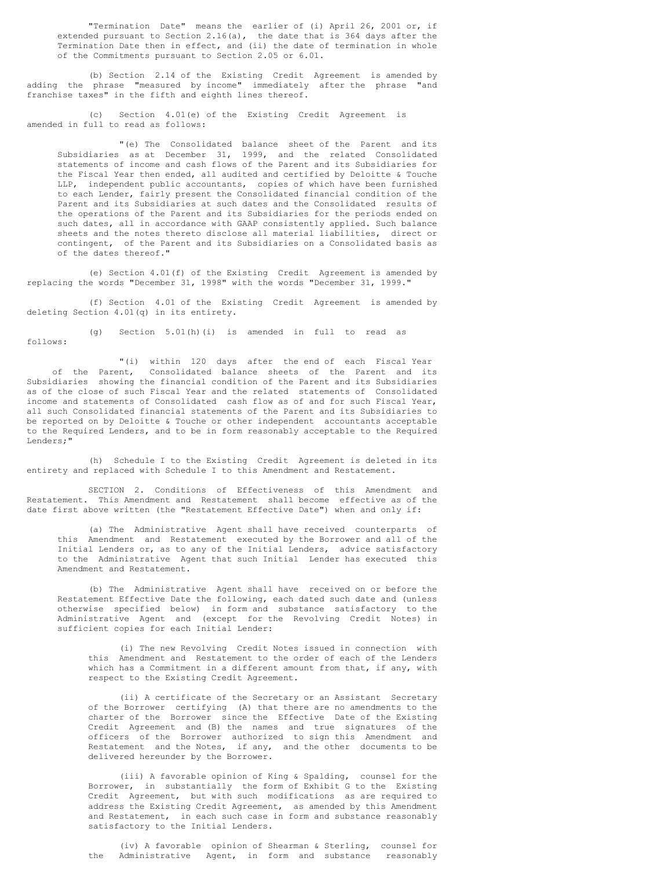"Termination Date" means the earlier of (i) April 26, 2001 or, if extended pursuant to Section 2.16(a), the date that is 364 days after the Termination Date then in effect, and (ii) the date of termination in whole of the Commitments pursuant to Section 2.05 or 6.01.

(b) Section 2.14 of the Existing Credit Agreement is amended by adding the phrase "measured by income" immediately after the phrase "and franchise taxes" in the fifth and eighth lines thereof.

(c) Section 4.01(e) of the Existing Credit Agreement is amended in full to read as follows:

"(e) The Consolidated balance sheet of the Parent and its Subsidiaries as at December 31, 1999, and the related Consolidated statements of income and cash flows of the Parent and its Subsidiaries for the Fiscal Year then ended, all audited and certified by Deloitte & Touche LLP, independent public accountants, copies of which have been furnished to each Lender, fairly present the Consolidated financial condition of the Parent and its Subsidiaries at such dates and the Consolidated results of the operations of the Parent and its Subsidiaries for the periods ended on such dates, all in accordance with GAAP consistently applied. Such balance sheets and the notes thereto disclose all material liabilities, direct or contingent, of the Parent and its Subsidiaries on a Consolidated basis as of the dates thereof."

(e) Section 4.01(f) of the Existing Credit Agreement is amended by replacing the words "December 31, 1998" with the words "December 31, 1999."

(f) Section 4.01 of the Existing Credit Agreement is amended by deleting Section 4.01(q) in its entirety.

(g) Section 5.01(h)(i) is amended in full to read as follows:

"(i) within 120 days after the end of each Fiscal Year of the Parent, Consolidated balance sheets of the Parent and its Subsidiaries showing the financial condition of the Parent and its Subsidiaries as of the close of such Fiscal Year and the related statements of Consolidated income and statements of Consolidated cash flow as of and for such Fiscal Year, all such Consolidated financial statements of the Parent and its Subsidiaries to be reported on by Deloitte & Touche or other independent accountants acceptable to the Required Lenders, and to be in form reasonably acceptable to the Required Lenders;"

(h) Schedule I to the Existing Credit Agreement is deleted in its entirety and replaced with Schedule I to this Amendment and Restatement.

SECTION 2. Conditions of Effectiveness of this Amendment and Restatement. This Amendment and Restatement shall become effective as of the date first above written (the "Restatement Effective Date") when and only if:

(a) The Administrative Agent shall have received counterparts of this Amendment and Restatement executed by the Borrower and all of the Initial Lenders or, as to any of the Initial Lenders, advice satisfactory to the Administrative Agent that such Initial Lender has executed this Amendment and Restatement.

(b) The Administrative Agent shall have received on or before the Restatement Effective Date the following, each dated such date and (unless otherwise specified below) in form and substance satisfactory to the Administrative Agent and (except for the Revolving Credit Notes) in sufficient copies for each Initial Lender:

(i) The new Revolving Credit Notes issued in connection with this Amendment and Restatement to the order of each of the Lenders which has a Commitment in a different amount from that, if any, with respect to the Existing Credit Agreement.

(ii) A certificate of the Secretary or an Assistant Secretary of the Borrower certifying (A) that there are no amendments to the charter of the Borrower since the Effective Date of the Existing Credit Agreement and (B) the names and true signatures of the officers of the Borrower authorized to sign this Amendment and Restatement and the Notes, if any, and the other documents to be delivered hereunder by the Borrower.

(iii) A favorable opinion of King & Spalding, counsel for the Borrower, in substantially the form of Exhibit G to the Existing Credit Agreement, but with such modifications as are required to address the Existing Credit Agreement, as amended by this Amendment and Restatement, in each such case in form and substance reasonably satisfactory to the Initial Lenders.

(iv) A favorable opinion of Shearman & Sterling, counsel for the Administrative Agent, in form and substance reasonably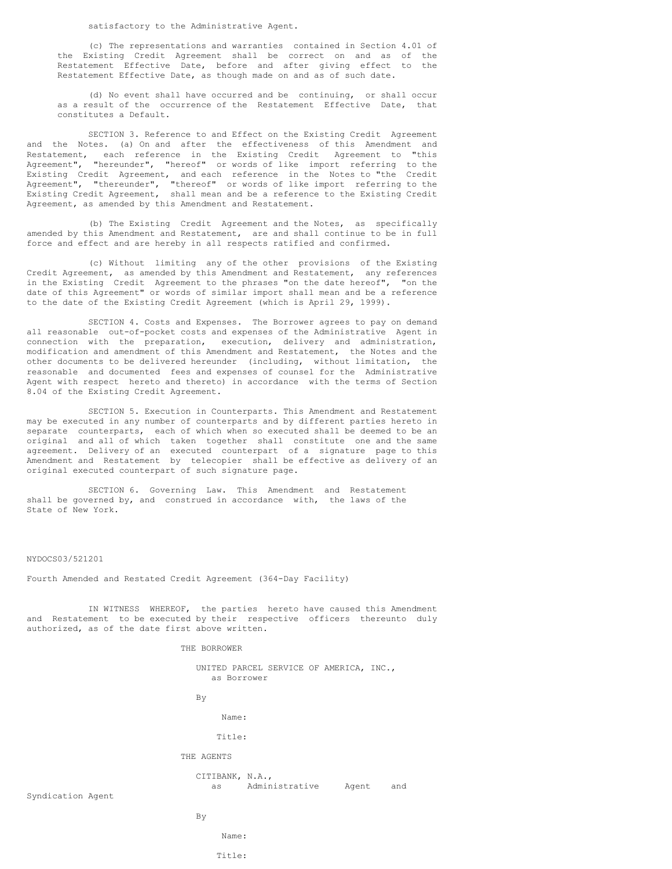satisfactory to the Administrative Agent.

(c) The representations and warranties contained in Section 4.01 of the Existing Credit Agreement shall be correct on and as of the Restatement Effective Date, before and after giving effect to the Restatement Effective Date, as though made on and as of such date.

(d) No event shall have occurred and be continuing, or shall occur as a result of the occurrence of the Restatement Effective Date, that constitutes a Default.

SECTION 3. Reference to and Effect on the Existing Credit Agreement and the Notes. (a) On and after the effectiveness of this Amendment and Restatement, each reference in the Existing Credit Agreement to "this Agreement", "hereunder", "hereof" or words of like import referring to the Existing Credit Agreement, and each reference in the Notes to "the Credit Agreement", "thereunder", "thereof" or words of like import referring to the Existing Credit Agreement, shall mean and be a reference to the Existing Credit Agreement, as amended by this Amendment and Restatement.

(b) The Existing Credit Agreement and the Notes, as specifically amended by this Amendment and Restatement, are and shall continue to be in full force and effect and are hereby in all respects ratified and confirmed.

(c) Without limiting any of the other provisions of the Existing Credit Agreement, as amended by this Amendment and Restatement, any references in the Existing Credit Agreement to the phrases "on the date hereof", "on the date of this Agreement" or words of similar import shall mean and be a reference to the date of the Existing Credit Agreement (which is April 29, 1999).

SECTION 4. Costs and Expenses. The Borrower agrees to pay on demand all reasonable out-of-pocket costs and expenses of the Administrative Agent in connection with the preparation, execution, delivery and administration, modification and amendment of this Amendment and Restatement, the Notes and the other documents to be delivered hereunder (including, without limitation, the reasonable and documented fees and expenses of counsel for the Administrative Agent with respect hereto and thereto) in accordance with the terms of Section 8.04 of the Existing Credit Agreement.

SECTION 5. Execution in Counterparts. This Amendment and Restatement may be executed in any number of counterparts and by different parties hereto in separate counterparts, each of which when so executed shall be deemed to be an original and all of which taken together shall constitute one and the same agreement. Delivery of an executed counterpart of a signature page to this Amendment and Restatement by telecopier shall be effective as delivery of an original executed counterpart of such signature page.

SECTION 6. Governing Law. This Amendment and Restatement shall be governed by, and construed in accordance with, the laws of the State of New York.

### NYDOCS03/521201

Fourth Amended and Restated Credit Agreement (364-Day Facility)

IN WITNESS WHEREOF, the parties hereto have caused this Amendment and Restatement to be executed by their respective officers thereunto duly authorized, as of the date first above written.

THE BORROWER

UNITED PARCEL SERVICE OF AMERICA, INC., as Borrower

By

Name:

Title:

## THE AGENTS

CITIBANK, N.A., as Administrative Agent and

Syndication Agent

By

# Name: Title: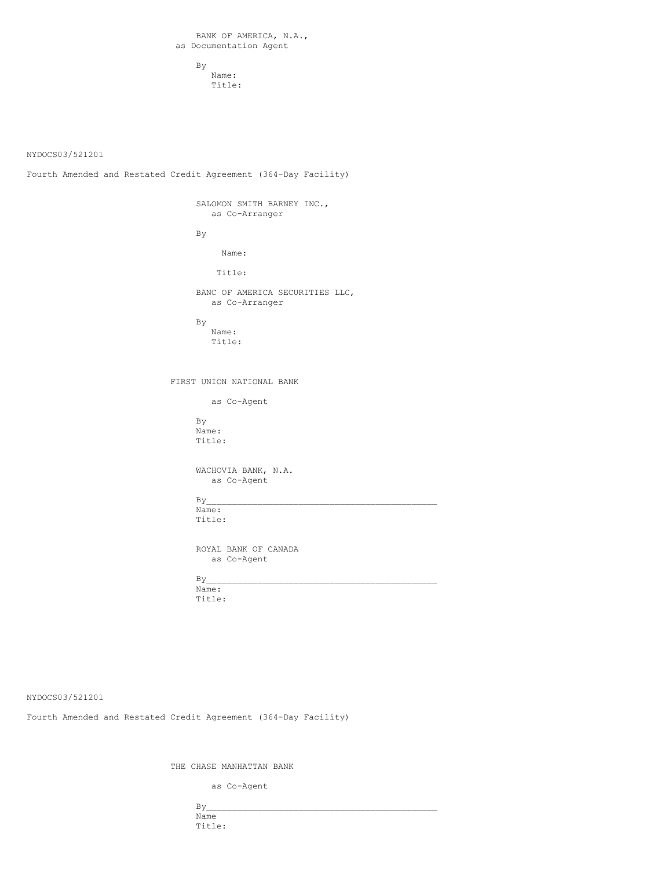By Name: Title:

NYDOCS03/521201

Fourth Amended and Restated Credit Agreement (364-Day Facility)

SALOMON SMITH BARNEY INC., as Co-Arranger

By

Name:

Title:

BANC OF AMERICA SECURITIES LLC, as Co-Arranger

By

Name: Title:

FIRST UNION NATIONAL BANK

as Co-Agent

By Name: Title:

WACHOVIA BANK, N.A. as Co-Agent

 $By$ Name:

Title:

ROYAL BANK OF CANADA as Co-Agent

 $By$ Name: Title:

NYDOCS03/521201

Fourth Amended and Restated Credit Agreement (364-Day Facility)

THE CHASE MANHATTAN BANK

as Co-Agent

 $By$ Name Title: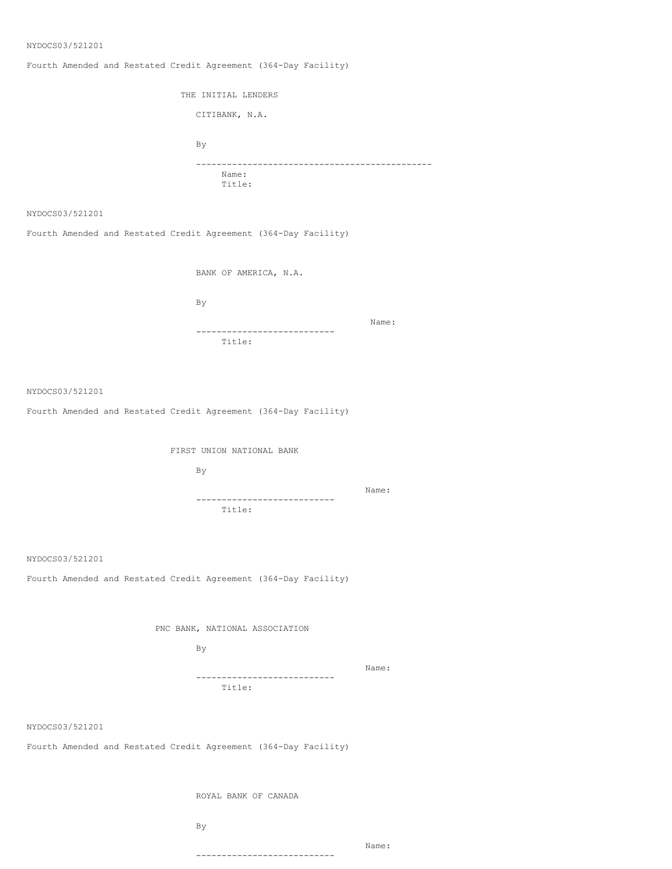### NYDOCS03/521201

Fourth Amended and Restated Credit Agreement (364-Day Facility)

THE INITIAL LENDERS CITIBANK, N.A. By ---------------------------------------------- Name: Title:

NYDOCS03/521201

Fourth Amended and Restated Credit Agreement (364-Day Facility)

BANK OF AMERICA, N.A.

By

Name:

--------------------------- Title:

NYDOCS03/521201

Fourth Amended and Restated Credit Agreement (364-Day Facility)

FIRST UNION NATIONAL BANK

By

Name: --------------------------- Title:

NYDOCS03/521201

Fourth Amended and Restated Credit Agreement (364-Day Facility)

PNC BANK, NATIONAL ASSOCIATION

By

Name:

Name:

--------------------------- Title:

NYDOCS03/521201

Fourth Amended and Restated Credit Agreement (364-Day Facility)

ROYAL BANK OF CANADA

By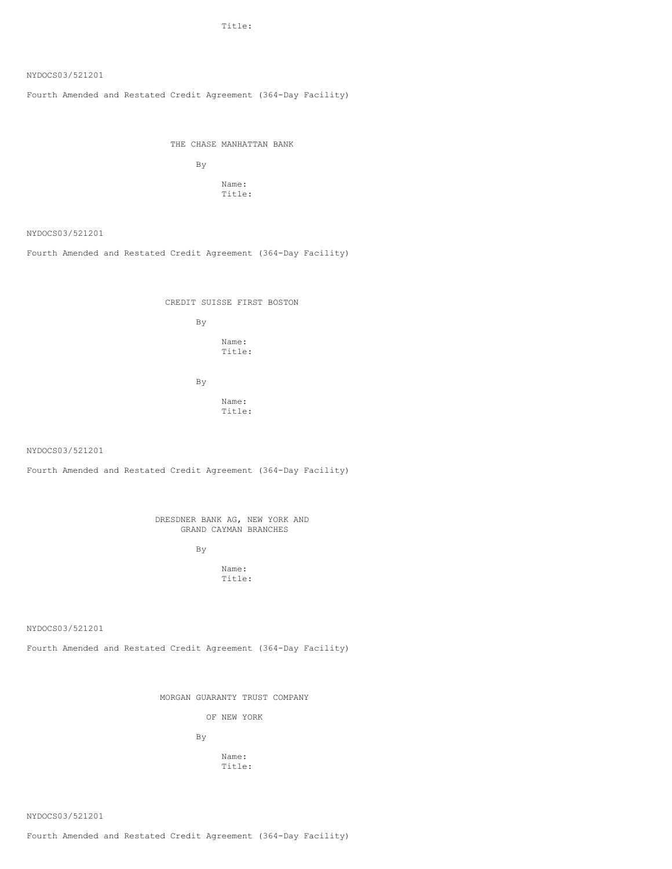Title:

# NYDOCS03/521201

Fourth Amended and Restated Credit Agreement (364-Day Facility)

THE CHASE MANHATTAN BANK

By Name: Title:

NYDOCS03/521201

Fourth Amended and Restated Credit Agreement (364-Day Facility)

CREDIT SUISSE FIRST BOSTON

By

Name: Title:

By

Name: Title:

NYDOCS03/521201

Fourth Amended and Restated Credit Agreement (364-Day Facility)

DRESDNER BANK AG, NEW YORK AND GRAND CAYMAN BRANCHES

By

Name: Title:

NYDOCS03/521201

Fourth Amended and Restated Credit Agreement (364-Day Facility)

MORGAN GUARANTY TRUST COMPANY

OF NEW YORK

By

Name: Title:

NYDOCS03/521201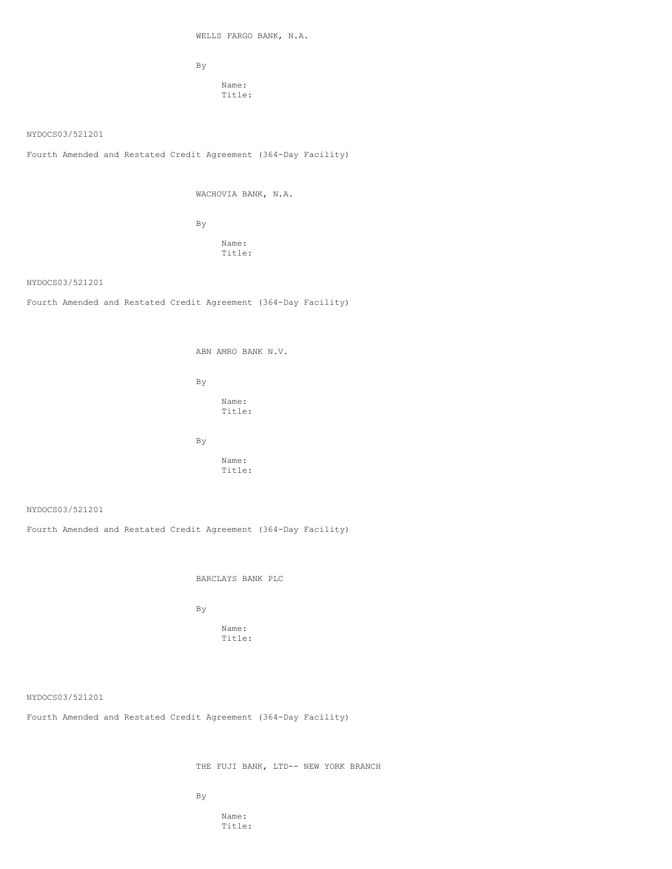WELLS FARGO BANK, N.A.

By

Name: Title:

NYDOCS03/521201

Fourth Amended and Restated Credit Agreement (364-Day Facility)

WACHOVIA BANK, N.A.

By

Name: Title:

NYDOCS03/521201

Fourth Amended and Restated Credit Agreement (364-Day Facility)

ABN AMRO BANK N.V. By Name: Title: By Name: Title:

NYDOCS03/521201

Fourth Amended and Restated Credit Agreement (364-Day Facility)

BARCLAYS BANK PLC

By

Name: Title:

NYDOCS03/521201

Fourth Amended and Restated Credit Agreement (364-Day Facility)

THE FUJI BANK, LTD-- NEW YORK BRANCH

By

Name: Title: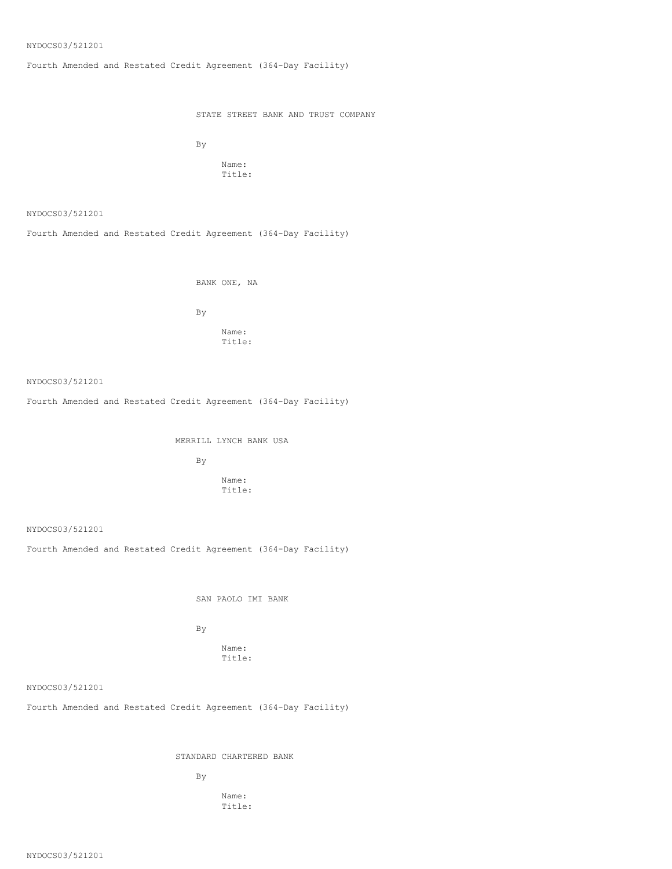### NYDOCS03/521201

Fourth Amended and Restated Credit Agreement (364-Day Facility)

STATE STREET BANK AND TRUST COMPANY

By

Name: Title:

NYDOCS03/521201

Fourth Amended and Restated Credit Agreement (364-Day Facility)

BANK ONE, NA

By

Name: Title:

NYDOCS03/521201

Fourth Amended and Restated Credit Agreement (364-Day Facility)

MERRILL LYNCH BANK USA

By

Name: Title:

NYDOCS03/521201

Fourth Amended and Restated Credit Agreement (364-Day Facility)

SAN PAOLO IMI BANK

By

Name: Title:

NYDOCS03/521201

Fourth Amended and Restated Credit Agreement (364-Day Facility)

STANDARD CHARTERED BANK

By

Name: Title:

NYDOCS03/521201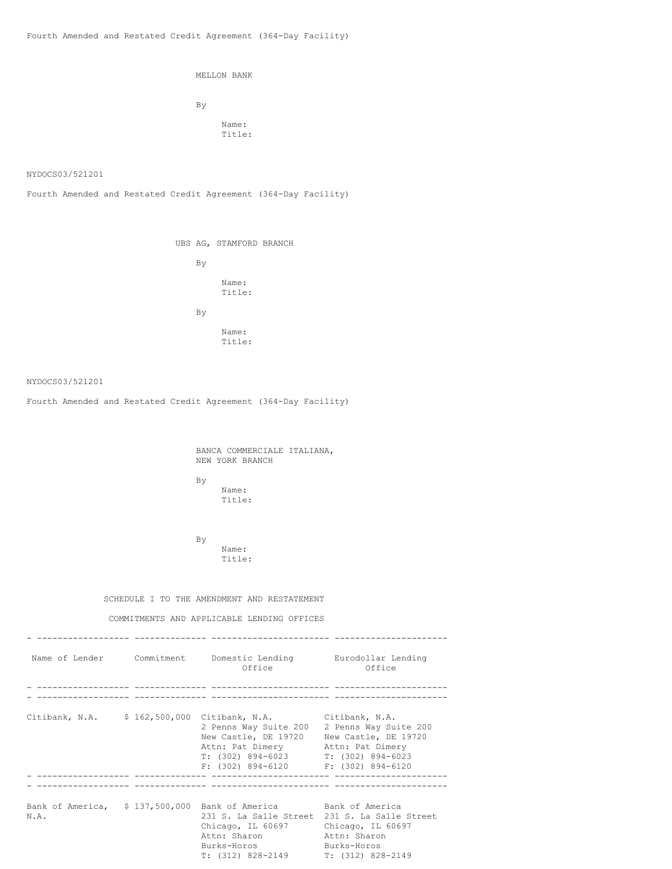MELLON BANK

By Name: Title:

NYDOCS03/521201

Fourth Amended and Restated Credit Agreement (364-Day Facility)

UBS AG, STAMFORD BRANCH By Name: Title: By Name: Title:

# NYDOCS03/521201

Fourth Amended and Restated Credit Agreement (364-Day Facility)

BANCA COMMERCIALE ITALIANA, NEW YORK BRANCH

By Name: Title:

By Name: Title:

### SCHEDULE I TO THE AMENDMENT AND RESTATEMENT

# COMMITMENTS AND APPLICABLE LENDING OFFICES

|      | Name of Lender Commitment Domestic Lending Eurodollar Lending<br>Office                                                                                                                                              | Office                                                                                     |
|------|----------------------------------------------------------------------------------------------------------------------------------------------------------------------------------------------------------------------|--------------------------------------------------------------------------------------------|
|      |                                                                                                                                                                                                                      |                                                                                            |
|      | Citibank, N.A. \$ 162,500,000 Citibank, N.A. Citibank, N.A.                                                                                                                                                          |                                                                                            |
|      | 2 Penns Way Suite 200<br>New Castle, DE 19720<br>Attn: Pat Dimery<br>$T: (302) 894 - 6023$<br>$F: (302) 894-6120$ $F: (302) 894-6120$                                                                                | 2 Penns Way Suite 200<br>New Castle, DE 19720<br>Attn: Pat Dimery<br>$T: (302) 894 - 6023$ |
|      |                                                                                                                                                                                                                      |                                                                                            |
| N.A. | Bank of America, \$137,500,000 Bank of America Bank of America<br>231 S. La Salle Street 231 S. La Salle Street<br>Chicago, IL 60697<br>Attn: Sharon<br>Burks-Horos and the second services<br>$T: (312) 828 - 2149$ | Chicago, IL 60697<br>Attn: Sharon<br>Burks-Horos<br>$T: (312) 828 - 2149$                  |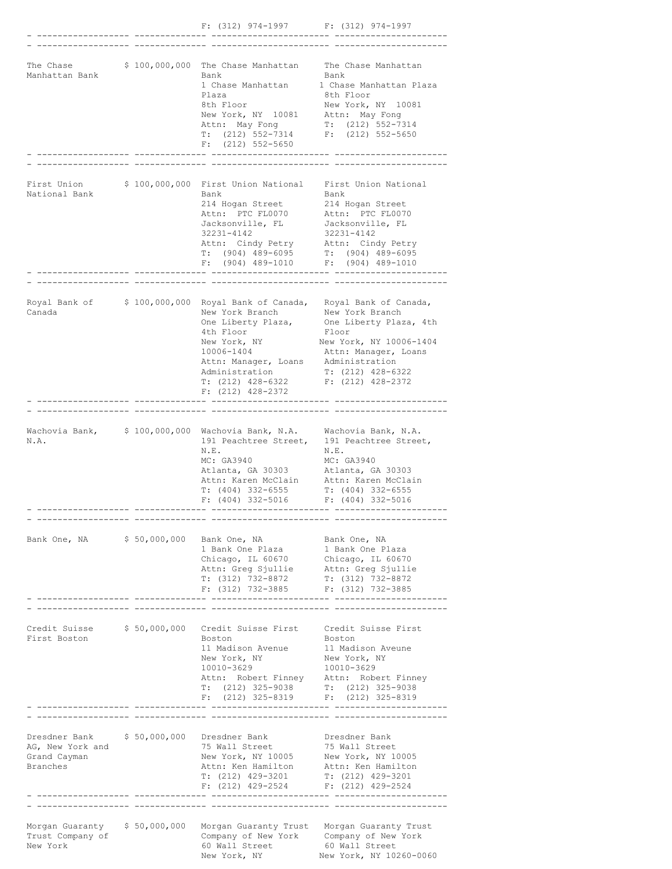|                                                                                          |  | $F: (312)$ 974-1997 $F: (312)$ 974-1997                                                                                                                                                                                         |                                                                                                                                                                                                                              |
|------------------------------------------------------------------------------------------|--|---------------------------------------------------------------------------------------------------------------------------------------------------------------------------------------------------------------------------------|------------------------------------------------------------------------------------------------------------------------------------------------------------------------------------------------------------------------------|
| The Chase<br>Manhattan Bank                                                              |  | \$ 100,000,000 The Chase Manhattan The Chase Manhattan<br>Bank<br>1 Chase Manhattan<br>Plaza<br>8th Floor<br>New York, NY 10081 Attn: May Fong<br>Attn: May Fong<br>$T: (212) 552 - 7314$<br>$F: (212) 552 - 5650$              | Bank<br>1 Chase Manhattan Plaza<br>8th Floor<br>New York, NY 10081<br>$T: (212) 552-7314$<br>$F: (212) 552 - 5650$                                                                                                           |
|                                                                                          |  |                                                                                                                                                                                                                                 |                                                                                                                                                                                                                              |
| First Union<br>National Bank                                                             |  | \$ 100,000,000 First Union National First Union National<br>Bank<br>214 Hogan Street<br>Attn: PTC FL0070<br>Jacksonville, FL<br>32231-4142<br>Attn: Cindy Petry<br>$T: (904)$ 489-6095<br>$F: (904) 489 - 1010$                 | Bank<br>214 Hogan Street<br>Attn: PTC FL0070<br>Jacksonville, FL<br>32231-4142<br>Attn: Cindy Petry<br>$T: (904) 489-6095$<br>$F: (904) 489-1010$                                                                            |
|                                                                                          |  |                                                                                                                                                                                                                                 |                                                                                                                                                                                                                              |
| Canada                                                                                   |  | New York Branch<br>One Liberty Plaza,<br>4th Floor<br>New York, NY<br>10006-1404<br>Attn: Manager, Loans Administration<br>Administration<br>T: (212) 428-6322<br>$F: (212)$ 428-2372                                           | Royal Bank of \$100,000,000 Royal Bank of Canada, Royal Bank of Canada,<br>New York Branch<br>One Liberty Plaza, 4th<br>Floor<br>New York, NY 10006-1404<br>Attn: Manager, Loans<br>$T: (212)$ 428-6322<br>F: (212) 428-2372 |
|                                                                                          |  |                                                                                                                                                                                                                                 |                                                                                                                                                                                                                              |
| N.A.                                                                                     |  | Wachovia Bank, \$100,000,000 Wachovia Bank, N.A. Wachovia Bank, N.A.<br>191 Peachtree Street,<br>N.E.<br>MC: GA3940<br>Atlanta, GA 30303<br>Attn: Karen McClain<br>T: (404) 332-6555<br>F: $(404)$ 332-5016 F: $(404)$ 332-5016 | 191 Peachtree Street,<br>N.E.<br>MC: GA3940<br>Atlanta, GA 30303<br>Attn: Karen McClain<br>$T: (404)$ 332-6555                                                                                                               |
|                                                                                          |  | Bank One, NA \$50,000,000 Bank One, NA<br>1 Bank One Plaza 1 Bank One Plaza<br>Chicago, IL 60670<br>Attn: Greg Sjullie Attn: Greg Sjullie<br>$T: (312)$ 732-8872<br>F: $(312)$ 732-3885 F: $(312)$ 732-3885                     | Bank One, NA<br>Chicago, IL 60670<br>$T: (312) 732 - 8872$                                                                                                                                                                   |
|                                                                                          |  |                                                                                                                                                                                                                                 |                                                                                                                                                                                                                              |
| Credit Suisse $$50,000,000$<br>First Boston                                              |  | Credit Suisse First Credit Suisse First<br>Boston<br>11 Madison Avenue<br>New York, NY<br>10010-3629<br>T: $(212)$ 325-9038 T: $(212)$ 325-9038<br>$F: (212)$ 325-8319 $F: (212)$ 325-8319                                      | Boston<br>11 Madison Aveune<br>New York, NY<br>10010-3629<br>Attn: Robert Finney Attn: Robert Finney                                                                                                                         |
|                                                                                          |  |                                                                                                                                                                                                                                 |                                                                                                                                                                                                                              |
| Dresdner Bank \$50,000,000 Dresdner Bank<br>AG, New York and<br>Grand Cayman<br>Branches |  | 75 Wall Street<br>New York, NY 10005<br>Attn: Ken Hamilton Attn: Ken Hamilton<br>$T: (212)$ 429-3201<br>F: $(212)$ 429-2524 F: $(212)$ 429-2524                                                                                 | Dresdner Bank<br>75 Wall Street<br>New York, NY 10005<br>$T: (212)$ 429-3201                                                                                                                                                 |
|                                                                                          |  |                                                                                                                                                                                                                                 |                                                                                                                                                                                                                              |
| Morgan Guaranty \$50,000,000<br>Trust Company of<br>New York                             |  | Company of New York Company of New York<br>60 Wall Street<br>New York, NY                                                                                                                                                       | Morgan Guaranty Trust Morgan Guaranty Trust<br>60 Wall Street<br>New York, NY 10260-0060                                                                                                                                     |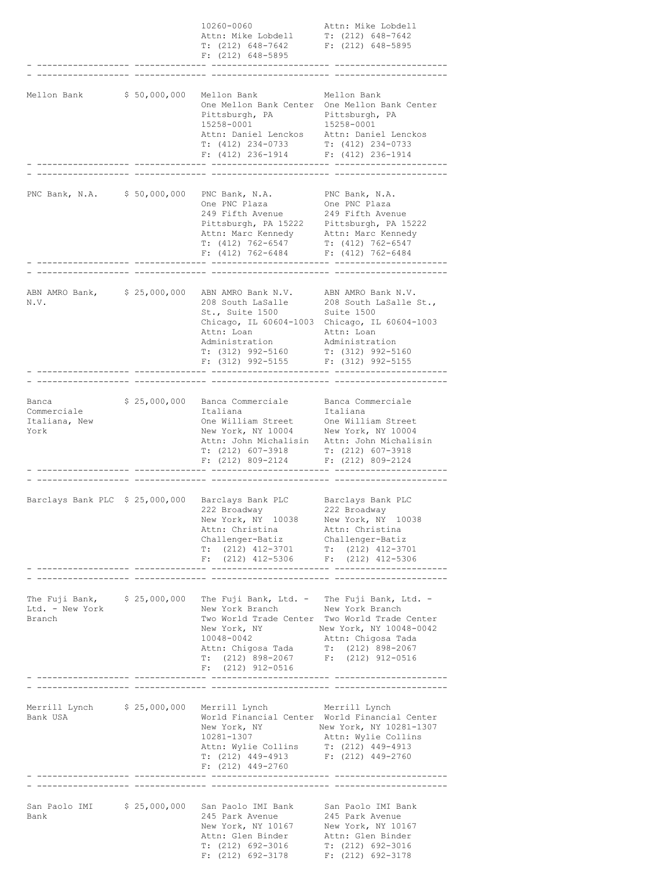|                                                       |               | 10260-0060<br>Attn: Mike Lobdell<br>T: (212) 648-7642 F: (212) 648-5895<br>$F: (212) 648 - 5895$                                                                                                                                          | Attn: Mike Lobdell<br>$T: (212) 648 - 7642$                                                                                                |
|-------------------------------------------------------|---------------|-------------------------------------------------------------------------------------------------------------------------------------------------------------------------------------------------------------------------------------------|--------------------------------------------------------------------------------------------------------------------------------------------|
| Mellon Bank                                           | \$ 50,000,000 | Mellon Bank<br>Pittsburgh, PA Pittsburgh, PA<br>15258-0001<br>Attn: Daniel Lenckos Attn: Daniel Lenckos<br>T: $(412)$ 234-0733 T: $(412)$ 234-0733<br>$F: (412) 236-1914$ $F: (412) 236-1914$                                             | Mellon Bank<br>One Mellon Bank Center One Mellon Bank Center<br>15258-0001                                                                 |
| PNC Bank, N.A. \$50,000,000                           |               | PNC Bank, N.A.<br>One PNC Plaza<br>249 Fifth Avenue<br>Pittsburgh, PA 15222 Pittsburgh, PA 15222<br>Attn: Marc Kennedy Attn: Marc Kennedy<br>$T: (412) 762-6547$<br>$F: (412) 762 - 6484$                                                 | PNC Bank, N.A.<br>One PNC Plaza<br>249 Fifth Avenue<br>$T: (412) 762 - 6547$<br>$F: (412) 762 - 6484$                                      |
| ABN AMRO Bank, \$25,000,000<br>N.V.                   |               | ABN AMRO Bank N.V. ABN AMRO Bank N.V.<br>208 South LaSalle<br>St., Suite 1500<br>Attn: Loan<br>Administration<br>$T: (312) 992 - 5160$<br>$F: (312)$ 992-5155 $F: (312)$ 992-5155                                                         | 208 South LaSalle St.,<br>Suite 1500<br>Chicago, IL 60604-1003 Chicago, IL 60604-1003<br>Attn: Loan<br>Administration<br>T: (312) 992-5160 |
| Banca<br>Commerciale<br>Italiana, New<br>York         |               | \$ 25,000,000 Banca Commerciale Banca Commerciale<br>Italiana<br>One William Street One William Street<br>New York, NY 10004 New York, NY 10004<br>$T: (212) 607-3918$ $T: (212) 607-3918$<br>$F: (212) 809 - 2124$ $F: (212) 809 - 2124$ | Italiana<br>Attn: John Michalisin Attn: John Michalisin                                                                                    |
|                                                       |               | Barclays Bank PLC \$ 25,000,000 Barclays Bank PLC<br>222 Broadway<br>New York, NY 10038 New York, NY 10038<br>Attn: Christina<br>Challenger-Batiz<br>$T: (212)$ 412-3701<br>F: $(212)$ 412-5306 F: $(212)$ 412-5306                       | Barclays Bank PLC<br>222 Broadway<br>Attn: Christina<br>Challenger-Batiz<br>$T: (212)$ 412-3701                                            |
| Ltd. - New York<br>Branch                             |               | The Fuji Bank, \$25,000,000 The Fuji Bank, Ltd. - The Fuji Bank, Ltd. -<br>New York Branch New York Branch<br>New York, NY<br>10048-0042<br>Attn: Chigosa Tada<br>T: (212) 898-2067 F: (212) 912-0516<br>$F: (212) 912 - 0516$            | Two World Trade Center Two World Trade Center<br>New York, NY 10048-0042<br>Attn: Chigosa Tada<br>$T: (212) 898 - 2067$                    |
| Merrill Lynch \$ 25,000,000 Merrill Lynch<br>Bank USA |               | 10281-1307<br>Attn: Wylie Collins T: (212) 449-4913<br>T: (212) 449-4913 F: (212) 449-2760<br>$F: (212)$ 449-2760                                                                                                                         | Merrill Lynch<br>World Financial Center World Financial Center<br>New York, NY New York, NY 10281-1307<br>Attn: Wylie Collins              |
| San Paolo IMI \$ 25,000,000<br>Bank                   |               | San Paolo IMI Bank San Paolo IMI Bank<br>245 Park Avenue<br>New York, NY 10167<br>Attn: Glen Binder Mattn: Glen Binder<br>$T: (212) 692-3016$<br>$F: (212)$ 692-3178                                                                      | 245 Park Avenue<br>New York, NY 10167<br>T: (212) 692-3016<br>$F: (212) 692 - 3178$                                                        |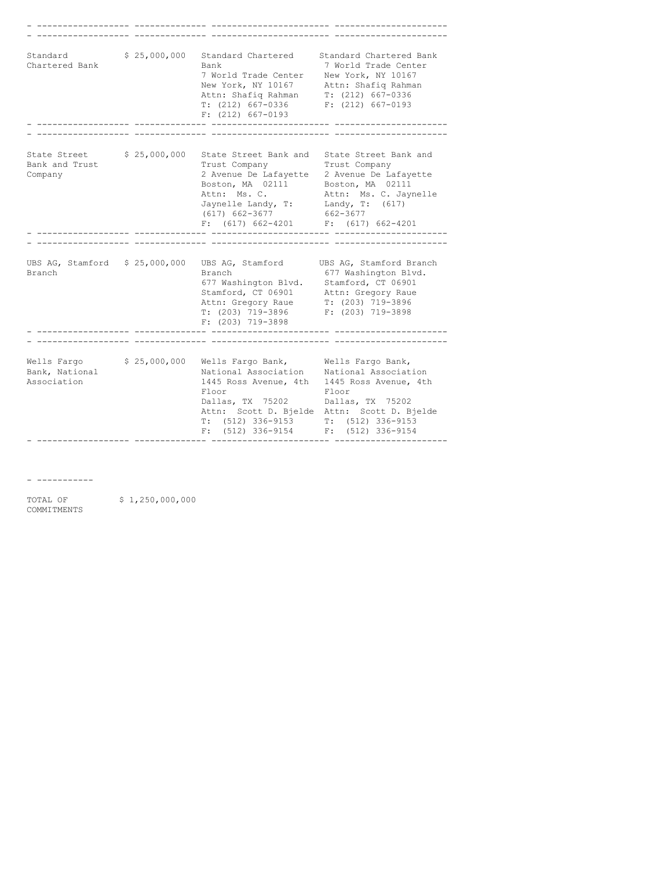| Standard<br>Chartered Bank                   | \$25,000,000 | Standard Chartered<br>Bank<br>7 World Trade Center New York, NY 10167<br>New York, NY 10167 Attn: Shafiq Rahman<br>Attn: Shafiq Rahman<br>$T: (212) 667 - 0336$<br>$F: (212) 667 - 0193$                                                              | Standard Chartered Bank<br>7 World Trade Center<br>$T: (212) 667 - 0336$<br>$F: (212) 667 - 0193$                               |
|----------------------------------------------|--------------|-------------------------------------------------------------------------------------------------------------------------------------------------------------------------------------------------------------------------------------------------------|---------------------------------------------------------------------------------------------------------------------------------|
|                                              |              |                                                                                                                                                                                                                                                       |                                                                                                                                 |
| State Street<br>Bank and Trust<br>Company    | \$25,000,000 | State Street Bank and State Street Bank and<br>Trust Company<br>2 Avenue De Lafayette 2 Avenue De Lafayette<br>Boston, MA 02111 Boston, MA 02111<br>Attn: Ms. C.<br>Jaynelle Landy, T:<br>$(617)$ 662-3677<br>$F: (617) 662-4201$ $F: (617) 662-4201$ | Trust Company<br>Attn: Ms. C. Jaynelle<br>Landy, T: (617)<br>662-3677                                                           |
|                                              |              |                                                                                                                                                                                                                                                       |                                                                                                                                 |
| Branch                                       |              | Branch<br>677 Washington Blvd. Stamford, CT 06901<br>Stamford, CT 06901 Attn: Gregory Raue<br>Attn: Gregory Raue T: (203) 719-3896<br>T: (203) 719-3896 F: (203) 719-3898<br>$F: (203)$ 719-3898                                                      | UBS AG, Stamford \$25,000,000 UBS AG, Stamford UBS AG, Stamford Branch<br>677 Washington Blvd.                                  |
|                                              |              |                                                                                                                                                                                                                                                       |                                                                                                                                 |
| Wells Fargo<br>Bank, National<br>Association |              | \$ 25,000,000 Wells Fargo Bank, Wells Fargo Bank,<br>National Association Mational Association<br>1445 Ross Avenue, 4th<br>Floor<br>Dallas, TX 75202 Dallas, TX 75202<br>$T: (512) 336 - 9153$<br>$(512)$ 336-9154<br>F:                              | 1445 Ross Avenue, 4th<br>Floor<br>Attn: Scott D. Bjelde Attn: Scott D. Bjelde<br>$T: (512) 336 - 9153$<br>$F: (512) 336 - 9154$ |

- -----------

TOTAL OF \$1,250,000,000 COMMITMENTS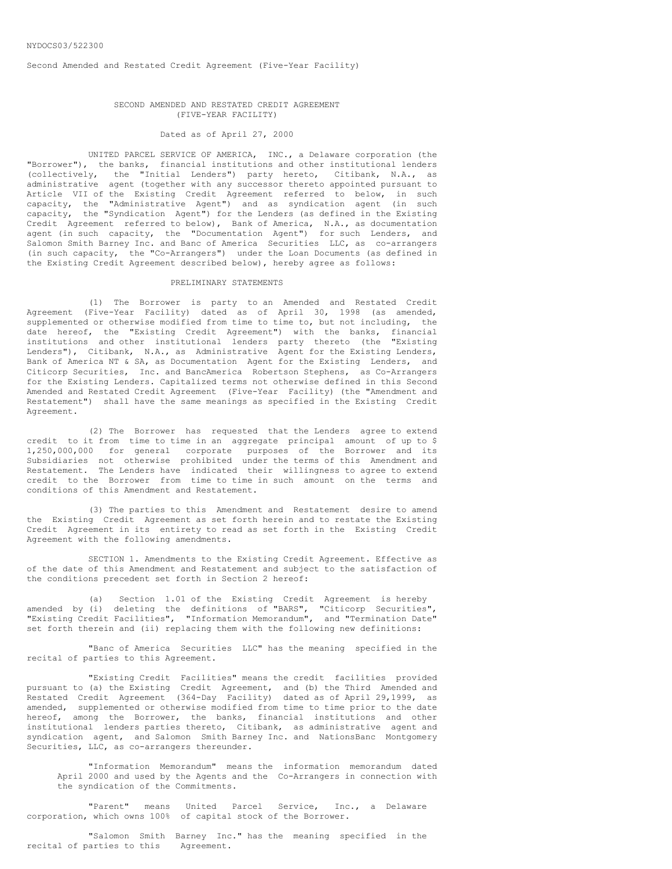Second Amended and Restated Credit Agreement (Five-Year Facility)

#### SECOND AMENDED AND RESTATED CREDIT AGREEMENT (FIVE-YEAR FACILITY)

# Dated as of April 27, 2000

UNITED PARCEL SERVICE OF AMERICA, INC., a Delaware corporation (the "Borrower"), the banks, financial institutions and other institutional lenders (collectively, the "Initial Lenders") party hereto, Citibank, N.A., as administrative agent (together with any successor thereto appointed pursuant to Article VII of the Existing Credit Agreement referred to below, in such capacity, the "Administrative Agent") and as syndication agent (in such capacity, the "Syndication Agent") for the Lenders (as defined in the Existing Credit Agreement referred to below), Bank of America, N.A., as documentation agent (in such capacity, the "Documentation Agent") for such Lenders, and Salomon Smith Barney Inc. and Banc of America Securities LLC, as co-arrangers (in such capacity, the "Co-Arrangers") under the Loan Documents (as defined in the Existing Credit Agreement described below), hereby agree as follows:

### PRELIMINARY STATEMENTS

(1) The Borrower is party to an Amended and Restated Credit Agreement (Five-Year Facility) dated as of April 30, 1998 (as amended, supplemented or otherwise modified from time to time to, but not including, the date hereof, the "Existing Credit Agreement") with the banks, financial institutions and other institutional lenders party thereto (the "Existing Lenders"), Citibank, N.A., as Administrative Agent for the Existing Lenders, Bank of America NT & SA, as Documentation Agent for the Existing Lenders, and Citicorp Securities, Inc. and BancAmerica Robertson Stephens, as Co-Arrangers for the Existing Lenders. Capitalized terms not otherwise defined in this Second Amended and Restated Credit Agreement (Five-Year Facility) (the "Amendment and Restatement") shall have the same meanings as specified in the Existing Credit Agreement.

(2) The Borrower has requested that the Lenders agree to extend credit to it from time to time in an aggregate principal amount of up to \$ 1,250,000,000 for general corporate purposes of the Borrower and its Subsidiaries not otherwise prohibited under the terms of this Amendment and Restatement. The Lenders have indicated their willingness to agree to extend credit to the Borrower from time to time in such amount on the terms and conditions of this Amendment and Restatement.

(3) The parties to this Amendment and Restatement desire to amend the Existing Credit Agreement as set forth herein and to restate the Existing Credit Agreement in its entirety to read as set forth in the Existing Credit Agreement with the following amendments.

SECTION 1. Amendments to the Existing Credit Agreement. Effective as of the date of this Amendment and Restatement and subject to the satisfaction of the conditions precedent set forth in Section 2 hereof:

(a) Section 1.01 of the Existing Credit Agreement is hereby amended by (i) deleting the definitions of "BARS", "Citicorp Securities", "Existing Credit Facilities", "Information Memorandum", and "Termination Date" set forth therein and (ii) replacing them with the following new definitions:

"Banc of America Securities LLC" has the meaning specified in the recital of parties to this Agreement.

"Existing Credit Facilities" means the credit facilities provided pursuant to (a) the Existing Credit Agreement, and (b) the Third Amended and Restated Credit Agreement (364-Day Facility) dated as of April 29,1999, as amended, supplemented or otherwise modified from time to time prior to the date hereof, among the Borrower, the banks, financial institutions and other institutional lenders parties thereto, Citibank, as administrative agent and syndication agent, and Salomon Smith Barney Inc. and NationsBanc Montgomery Securities, LLC, as co-arrangers thereunder.

"Information Memorandum" means the information memorandum dated April 2000 and used by the Agents and the Co-Arrangers in connection with the syndication of the Commitments.

"Parent" means United Parcel Service, Inc., a Delaware corporation, which owns 100% of capital stock of the Borrower.

"Salomon Smith Barney Inc." has the meaning specified in the recital of parties to this Agreement.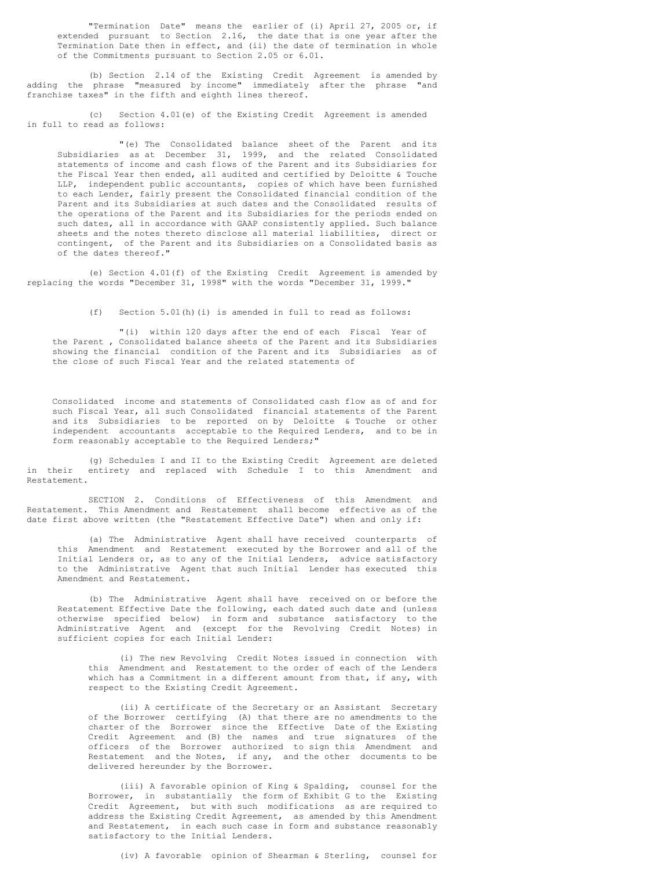"Termination Date" means the earlier of (i) April 27, 2005 or, if extended pursuant to Section 2.16, the date that is one year after the Termination Date then in effect, and (ii) the date of termination in whole of the Commitments pursuant to Section 2.05 or 6.01.

(b) Section 2.14 of the Existing Credit Agreement is amended by adding the phrase "measured by income" immediately after the phrase "and franchise taxes" in the fifth and eighth lines thereof.

(c) Section 4.01(e) of the Existing Credit Agreement is amended in full to read as follows:

"(e) The Consolidated balance sheet of the Parent and its Subsidiaries as at December 31, 1999, and the related Consolidated statements of income and cash flows of the Parent and its Subsidiaries for the Fiscal Year then ended, all audited and certified by Deloitte & Touche LLP, independent public accountants, copies of which have been furnished to each Lender, fairly present the Consolidated financial condition of the Parent and its Subsidiaries at such dates and the Consolidated results of the operations of the Parent and its Subsidiaries for the periods ended on such dates, all in accordance with GAAP consistently applied. Such balance sheets and the notes thereto disclose all material liabilities, direct or contingent, of the Parent and its Subsidiaries on a Consolidated basis as of the dates thereof."

(e) Section 4.01(f) of the Existing Credit Agreement is amended by replacing the words "December 31, 1998" with the words "December 31, 1999."

(f) Section 5.01(h)(i) is amended in full to read as follows:

"(i) within 120 days after the end of each Fiscal Year of the Parent , Consolidated balance sheets of the Parent and its Subsidiaries showing the financial condition of the Parent and its Subsidiaries as of the close of such Fiscal Year and the related statements of

Consolidated income and statements of Consolidated cash flow as of and for such Fiscal Year, all such Consolidated financial statements of the Parent and its Subsidiaries to be reported on by Deloitte & Touche or other independent accountants acceptable to the Required Lenders, and to be in form reasonably acceptable to the Required Lenders;"

(g) Schedules I and II to the Existing Credit Agreement are deleted in their entirety and replaced with Schedule I to this Amendment and Restatement.

SECTION 2. Conditions of Effectiveness of this Amendment and Restatement. This Amendment and Restatement shall become effective as of the date first above written (the "Restatement Effective Date") when and only if:

(a) The Administrative Agent shall have received counterparts of this Amendment and Restatement executed by the Borrower and all of the Initial Lenders or, as to any of the Initial Lenders, advice satisfactory to the Administrative Agent that such Initial Lender has executed this Amendment and Restatement.

(b) The Administrative Agent shall have received on or before the Restatement Effective Date the following, each dated such date and (unless otherwise specified below) in form and substance satisfactory to the Administrative Agent and (except for the Revolving Credit Notes) in sufficient copies for each Initial Lender:

(i) The new Revolving Credit Notes issued in connection with this Amendment and Restatement to the order of each of the Lenders which has a Commitment in a different amount from that, if any, with respect to the Existing Credit Agreement.

(ii) A certificate of the Secretary or an Assistant Secretary of the Borrower certifying (A) that there are no amendments to the charter of the Borrower since the Effective Date of the Existing Credit Agreement and (B) the names and true signatures of the officers of the Borrower authorized to sign this Amendment and Restatement and the Notes, if any, and the other documents to be delivered hereunder by the Borrower.

(iii) A favorable opinion of King & Spalding, counsel for the Borrower, in substantially the form of Exhibit G to the Existing Credit Agreement, but with such modifications as are required to address the Existing Credit Agreement, as amended by this Amendment and Restatement, in each such case in form and substance reasonably satisfactory to the Initial Lenders.

(iv) A favorable opinion of Shearman & Sterling, counsel for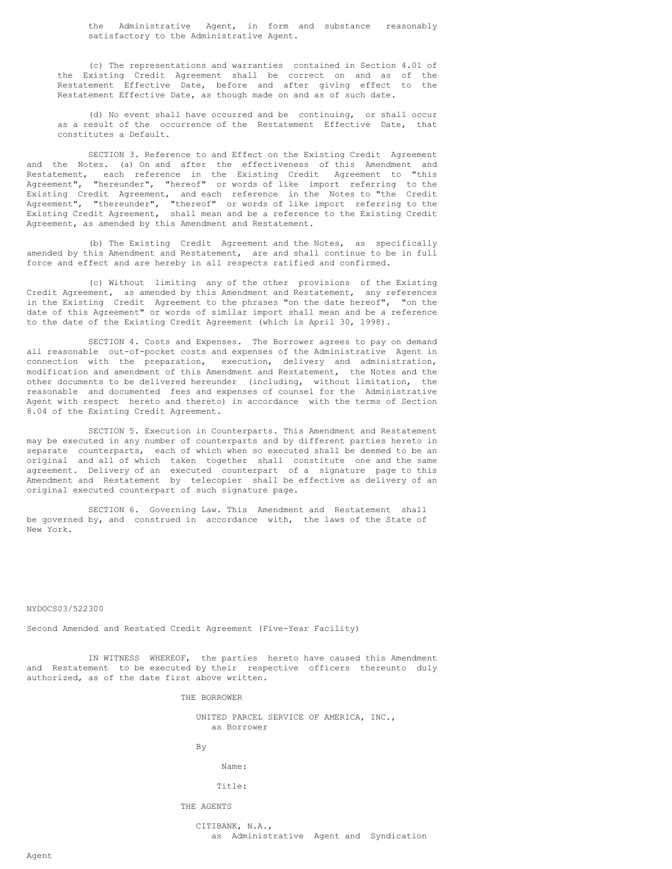the Administrative Agent, in form and substance reasonably satisfactory to the Administrative Agent.

(c) The representations and warranties contained in Section 4.01 of the Existing Credit Agreement shall be correct on and as of the Restatement Effective Date, before and after giving effect to the Restatement Effective Date, as though made on and as of such date.

(d) No event shall have occurred and be continuing, or shall occur as a result of the occurrence of the Restatement Effective Date, that constitutes a Default.

SECTION 3. Reference to and Effect on the Existing Credit Agreement and the Notes. (a) On and after the effectiveness of this Amendment and Restatement, each reference in the Existing Credit Agreement to "this Agreement", "hereunder", "hereof" or words of like import referring to the Existing Credit Agreement, and each reference in the Notes to "the Credit Agreement", "thereunder", "thereof" or words of like import referring to the Existing Credit Agreement, shall mean and be a reference to the Existing Credit Agreement, as amended by this Amendment and Restatement.

(b) The Existing Credit Agreement and the Notes, as specifically amended by this Amendment and Restatement, are and shall continue to be in full force and effect and are hereby in all respects ratified and confirmed.

(c) Without limiting any of the other provisions of the Existing Credit Agreement, as amended by this Amendment and Restatement, any references in the Existing Credit Agreement to the phrases "on the date hereof", "on the date of this Agreement" or words of similar import shall mean and be a reference to the date of the Existing Credit Agreement (which is April 30, 1998).

SECTION 4. Costs and Expenses. The Borrower agrees to pay on demand all reasonable out-of-pocket costs and expenses of the Administrative Agent in connection with the preparation, execution, delivery and administration, modification and amendment of this Amendment and Restatement, the Notes and the other documents to be delivered hereunder (including, without limitation, the reasonable and documented fees and expenses of counsel for the Administrative Agent with respect hereto and thereto) in accordance with the terms of Section 8.04 of the Existing Credit Agreement.

SECTION 5. Execution in Counterparts. This Amendment and Restatement may be executed in any number of counterparts and by different parties hereto in separate counterparts, each of which when so executed shall be deemed to be an original and all of which taken together shall constitute one and the same agreement. Delivery of an executed counterpart of a signature page to this Amendment and Restatement by telecopier shall be effective as delivery of an original executed counterpart of such signature page.

SECTION 6. Governing Law. This Amendment and Restatement shall be governed by, and construed in accordance with, the laws of the State of New York.

#### NYDOCS03/522300

Second Amended and Restated Credit Agreement (Five-Year Facility)

IN WITNESS WHEREOF, the parties hereto have caused this Amendment and Restatement to be executed by their respective officers thereunto duly authorized, as of the date first above written.

THE BORROWER

UNITED PARCEL SERVICE OF AMERICA, INC., as Borrower

By

Name:

#### Title:

THE AGENTS

CITIBANK, N.A., as Administrative Agent and Syndication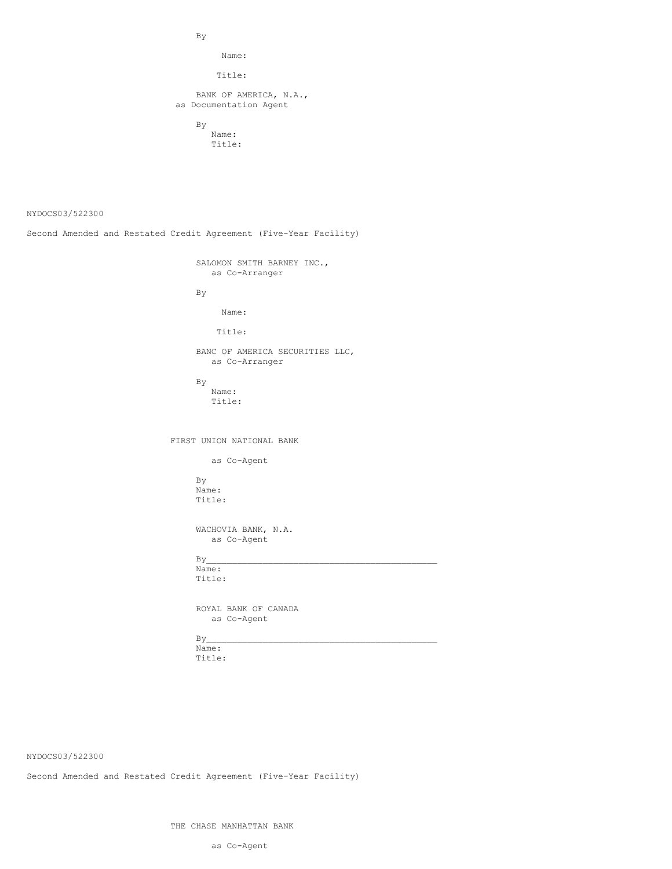By

Name:

Title:

BANK OF AMERICA, N.A., as Documentation Agent

> By Name: Title:

NYDOCS03/522300

Second Amended and Restated Credit Agreement (Five-Year Facility)

SALOMON SMITH BARNEY INC., as Co-Arranger

By

Name:

Title:

BANC OF AMERICA SECURITIES LLC, as Co-Arranger

By Name: Title:

FIRST UNION NATIONAL BANK

as Co-Agent

By Name: Title:

WACHOVIA BANK, N.A. as Co-Agent

 $By$ Name:

Title:

ROYAL BANK OF CANADA as Co-Agent

 $By$ 

Name: Title:

NYDOCS03/522300

Second Amended and Restated Credit Agreement (Five-Year Facility)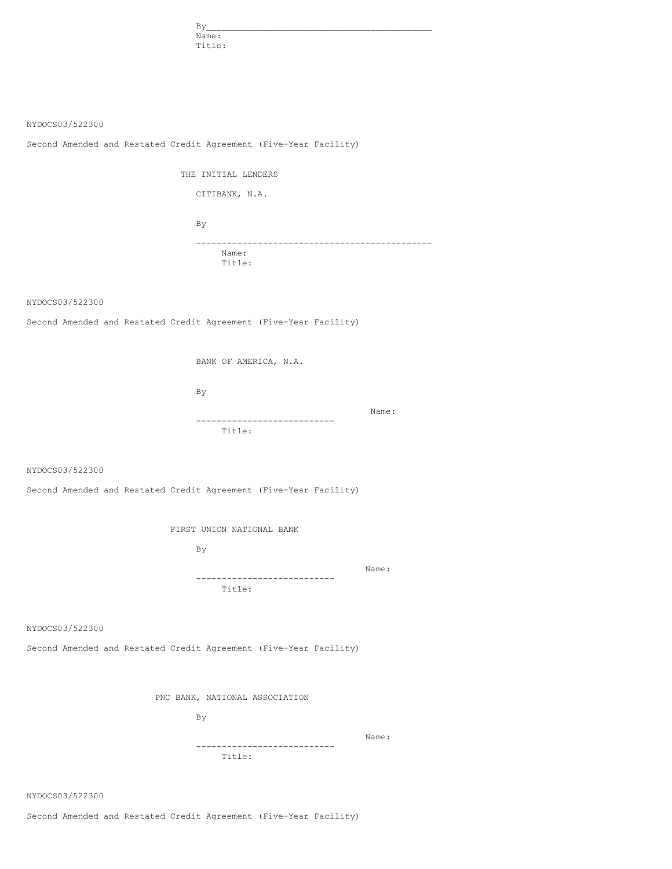| By     |  |
|--------|--|
| Name:  |  |
| Title: |  |

NYDOCS03/522300

Second Amended and Restated Credit Agreement (Five-Year Facility)

THE INITIAL LENDERS

CITIBANK, N.A.

By ---------------------------------------------- Name: Title:

NYDOCS03/522300

Second Amended and Restated Credit Agreement (Five-Year Facility)

BANK OF AMERICA, N.A.

By

Name: --------------------------- Title:

NYDOCS03/522300

Second Amended and Restated Credit Agreement (Five-Year Facility)

FIRST UNION NATIONAL BANK

By

Name: --------------------------- Title:

NYDOCS03/522300

Second Amended and Restated Credit Agreement (Five-Year Facility)

PNC BANK, NATIONAL ASSOCIATION

By

Name:

Title:

---------------------------

NYDOCS03/522300

Second Amended and Restated Credit Agreement (Five-Year Facility)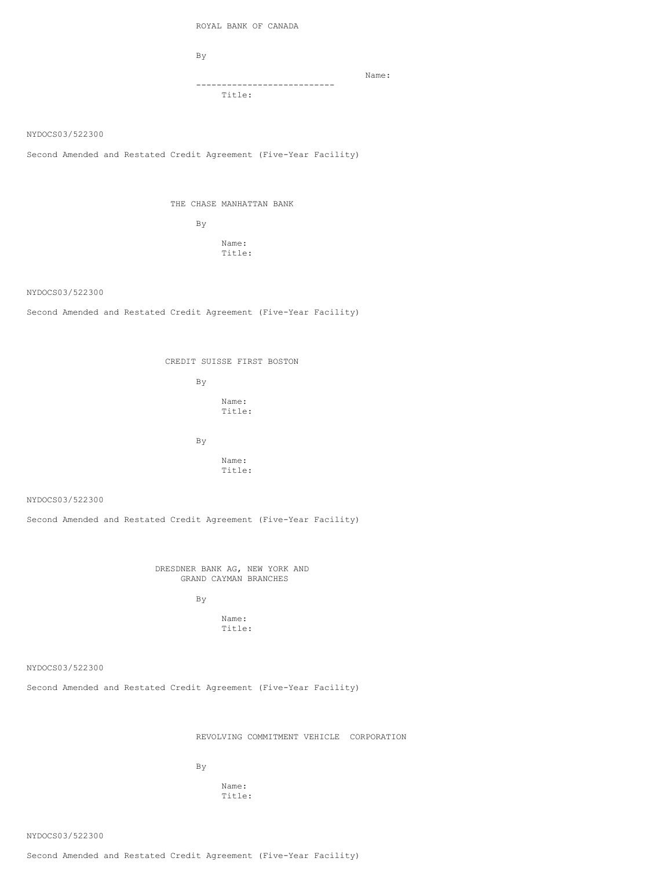ROYAL BANK OF CANADA

By

--------------------------- Title:

Name:

NYDOCS03/522300

Second Amended and Restated Credit Agreement (Five-Year Facility)

THE CHASE MANHATTAN BANK

By

Name: Title:

NYDOCS03/522300

Second Amended and Restated Credit Agreement (Five-Year Facility)

CREDIT SUISSE FIRST BOSTON

By Name: Title:

By

Name: Title:

NYDOCS03/522300

Second Amended and Restated Credit Agreement (Five-Year Facility)

DRESDNER BANK AG, NEW YORK AND GRAND CAYMAN BRANCHES

By

Name: Title:

NYDOCS03/522300

Second Amended and Restated Credit Agreement (Five-Year Facility)

REVOLVING COMMITMENT VEHICLE CORPORATION

By

Name: Title:

NYDOCS03/522300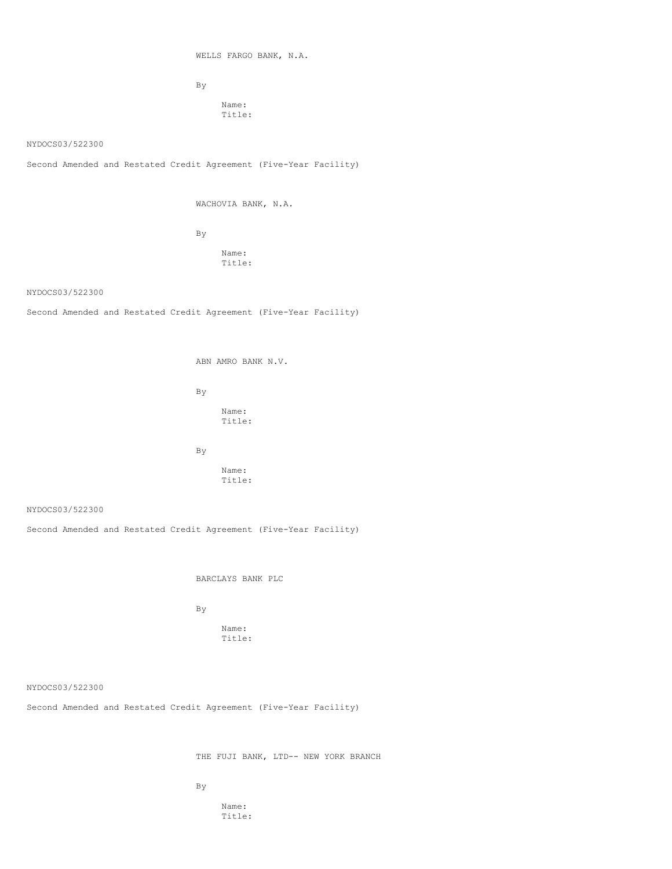WELLS FARGO BANK, N.A.

By

Name: Title:

NYDOCS03/522300

Second Amended and Restated Credit Agreement (Five-Year Facility)

WACHOVIA BANK, N.A.

By

Name: Title:

NYDOCS03/522300

Second Amended and Restated Credit Agreement (Five-Year Facility)

ABN AMRO BANK N.V.

By

Name: Title:

By

Name: Title:

NYDOCS03/522300

Second Amended and Restated Credit Agreement (Five-Year Facility)

BARCLAYS BANK PLC

By

Name: Title:

NYDOCS03/522300

Second Amended and Restated Credit Agreement (Five-Year Facility)

THE FUJI BANK, LTD-- NEW YORK BRANCH

By

Name: Title: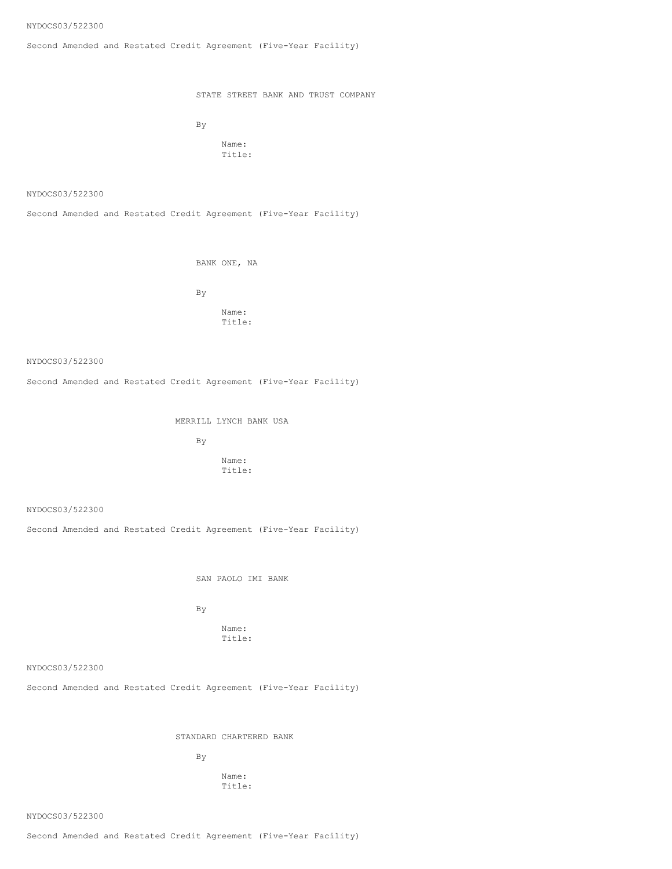Second Amended and Restated Credit Agreement (Five-Year Facility)

STATE STREET BANK AND TRUST COMPANY

By

Name: Title:

NYDOCS03/522300

Second Amended and Restated Credit Agreement (Five-Year Facility)

BANK ONE, NA

By

Name: Title:

NYDOCS03/522300

Second Amended and Restated Credit Agreement (Five-Year Facility)

MERRILL LYNCH BANK USA

By

Name: Title:

NYDOCS03/522300

Second Amended and Restated Credit Agreement (Five-Year Facility)

SAN PAOLO IMI BANK

By

Name: Title:

NYDOCS03/522300

Second Amended and Restated Credit Agreement (Five-Year Facility)

STANDARD CHARTERED BANK

By

Name: Title:

NYDOCS03/522300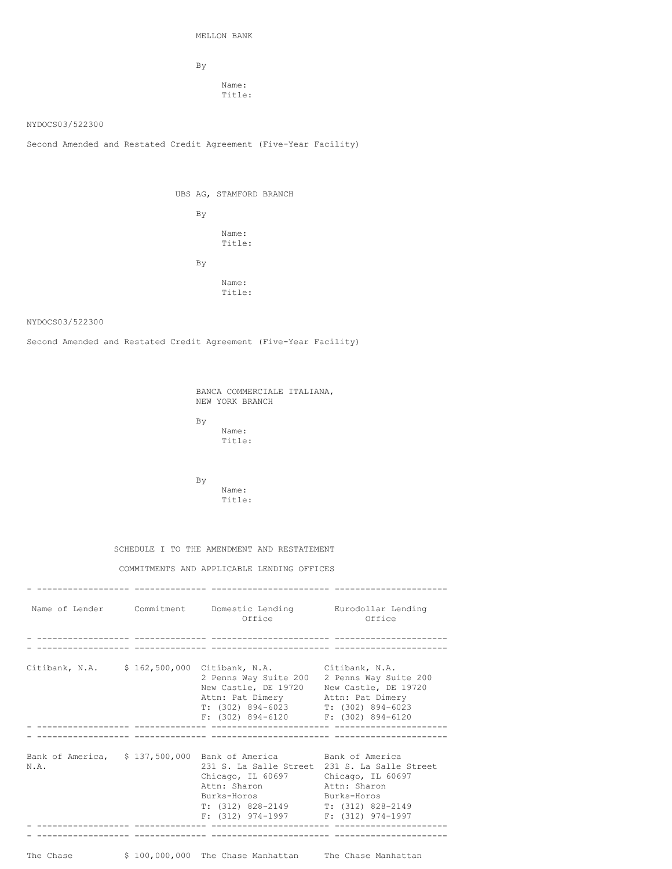MELLON BANK

By

Name: Title:

## NYDOCS03/522300

Second Amended and Restated Credit Agreement (Five-Year Facility)

|  |    | UBS AG, STAMFORD BRANCH |  |
|--|----|-------------------------|--|
|  | By |                         |  |
|  |    | Name:<br>Title:         |  |
|  | By |                         |  |
|  |    | Name:<br>Title:         |  |

## NYDOCS03/522300

Second Amended and Restated Credit Agreement (Five-Year Facility)

BANCA COMMERCIALE ITALIANA, NEW YORK BRANCH

By Name:

Title:

By Name: Title:

# SCHEDULE I TO THE AMENDMENT AND RESTATEMENT

# COMMITMENTS AND APPLICABLE LENDING OFFICES

|           | Name of Lender Commitment Domestic Lending Eurodollar Lending<br>Office                                                                                                                                                                                                           | Office                                                        |
|-----------|-----------------------------------------------------------------------------------------------------------------------------------------------------------------------------------------------------------------------------------------------------------------------------------|---------------------------------------------------------------|
|           |                                                                                                                                                                                                                                                                                   |                                                               |
|           | Citibank, N.A. \$162,500,000 Citibank, N.A. Citibank, N.A.<br>2 Penns Way Suite 200 2 Penns Way Suite 200<br>New Castle, DE 19720 New Castle, DE 19720<br>Attn: Pat Dimery Attn: Pat Dimery<br>$T: (302) 894-6023$ $T: (302) 894-6023$<br>$F: (302) 894-6120$ $F: (302) 894-6120$ |                                                               |
|           |                                                                                                                                                                                                                                                                                   |                                                               |
| N.A.      | Bank of America, \$137,500,000 Bank of America Bank of America<br>Chicago, IL 60697 Chicago, IL 60697<br>Attn: Sharon<br>Burks-Horos Burks-Horos<br>$T: (312) 828-2149$ $T: (312) 828-2149$<br>$F: (312)$ 974-1997 $F: (312)$ 974-1997                                            | 231 S. La Salle Street 231 S. La Salle Street<br>Attn: Sharon |
|           |                                                                                                                                                                                                                                                                                   |                                                               |
| The Chase | \$ 100,000,000 The Chase Manhattan The Chase Manhattan                                                                                                                                                                                                                            |                                                               |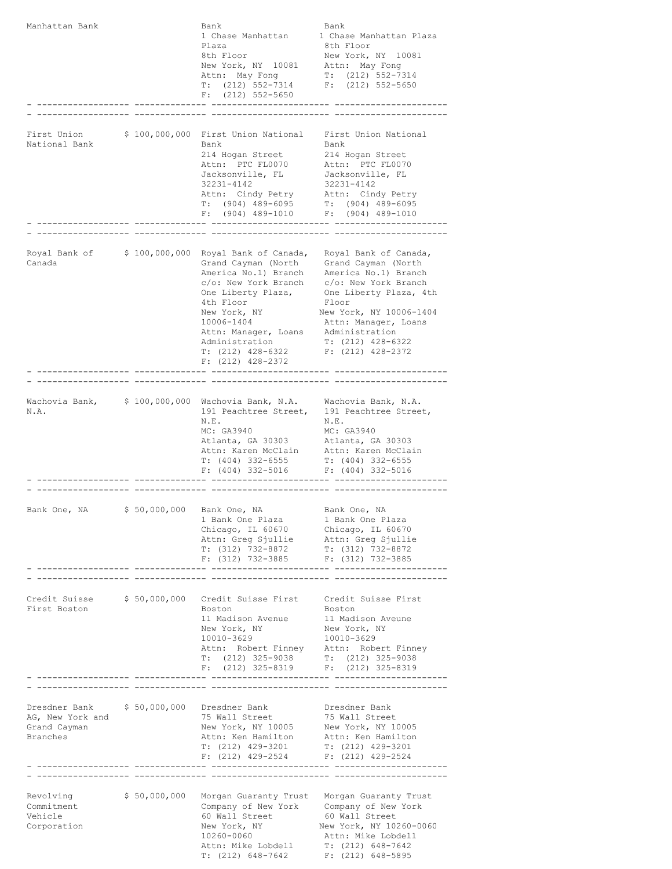| Manhattan Bank                                                |                 | Bank<br>1 Chase Manhattan<br>Plaza<br>8th Floor<br>New York, NY 10081<br>Attn: May Fong<br>$T: (212) 552-7314$<br>$(212)$ 552-5650<br>F:                                                                                                              | Bank<br>1 Chase Manhattan Plaza<br>8th Floor<br>New York, NY 10081<br>Attn: May Fong<br>$T: (212) 552 - 7314$<br>$F: (212) 552 - 5650$                                                                                                             |
|---------------------------------------------------------------|-----------------|-------------------------------------------------------------------------------------------------------------------------------------------------------------------------------------------------------------------------------------------------------|----------------------------------------------------------------------------------------------------------------------------------------------------------------------------------------------------------------------------------------------------|
| First Union<br>National Bank                                  | \$100,000,000   | First Union National<br>Bank<br>214 Hogan Street<br>Attn: PTC FL0070<br>Jacksonville, FL<br>32231-4142<br>Attn: Cindy Petry<br>$T: (904) 489 - 6095$<br>(904) 489-1010<br>F:<br>- -------------------                                                 | First Union National<br>Bank<br>214 Hogan Street<br>Attn: PTC FL0070<br>Jacksonville, FL<br>32231-4142<br>Attn: Cindy Petry<br>$T: (904) 489 - 6095$<br>$(904)$ 489-1010<br>F:<br>---- ------------------                                          |
|                                                               |                 |                                                                                                                                                                                                                                                       |                                                                                                                                                                                                                                                    |
| Royal Bank of<br>Canada                                       | \$100,000,000   | Royal Bank of Canada,<br>Grand Cayman (North<br>America No.1) Branch<br>c/o: New York Branch<br>One Liberty Plaza,<br>4th Floor<br>New York, NY<br>10006-1404<br>Attn: Manager, Loans<br>Administration<br>$T: (212)$ 428-6322<br>$F: (212)$ 428-2372 | Royal Bank of Canada,<br>Grand Cayman (North<br>America No.1) Branch<br>c/o: New York Branch<br>One Liberty Plaza, 4th<br>Floor<br>New York, NY 10006-1404<br>Attn: Manager, Loans<br>Administration<br>$T: (212)$ 428-6322<br>$F: (212)$ 428-2372 |
|                                                               | --------------- |                                                                                                                                                                                                                                                       |                                                                                                                                                                                                                                                    |
| Wachovia Bank,<br>N.A.                                        |                 | \$ 100,000,000 Wachovia Bank, N.A. Wachovia Bank, N.A.<br>191 Peachtree Street,<br>N.E.<br>MC: GA3940<br>Atlanta, GA 30303<br>Attn: Karen McClain<br>$T: (404)$ 332-6555<br>$F: (404)$ 332-5016                                                       | 191 Peachtree Street,<br>N.E.<br>MC: GA3940<br>Atlanta, GA 30303<br>Attn: Karen McClain<br>$T: (404)$ 332-6555<br>F: (404) 332-5016                                                                                                                |
|                                                               |                 |                                                                                                                                                                                                                                                       |                                                                                                                                                                                                                                                    |
| Bank One, NA                                                  |                 | \$ 50,000,000 Bank One, NA<br>1 Bank One Plaza<br>Chicago, IL 60670<br>Attn: Greg Sjullie Attn: Greg Sjullie<br>T: (312) 732-8872<br>F: $(312)$ 732-3885 F: $(312)$ 732-3885                                                                          | Bank One, NA<br>1 Bank One Plaza<br>Chicago, IL 60670<br>T: (312) 732-8872                                                                                                                                                                         |
|                                                               |                 |                                                                                                                                                                                                                                                       |                                                                                                                                                                                                                                                    |
| Credit Suisse $$50,000,000$<br>First Boston                   |                 | Credit Suisse First Credit Suisse First<br>Boston<br>11 Madison Avenue<br>New York, NY<br>10010-3629<br>Attn: Robert Finney Attn: Robert Finney<br>T: $(212)$ 325-9038 T: $(212)$ 325-9038<br>$F: (212)$ 325-8319 $F: (212)$ 325-8319                 | Boston<br>11 Madison Aveune<br>New York, NY<br>10010-3629                                                                                                                                                                                          |
|                                                               |                 |                                                                                                                                                                                                                                                       |                                                                                                                                                                                                                                                    |
| Dresdner Bank<br>AG, New York and<br>Grand Cayman<br>Branches | \$50,000,000    | Dresdner Bank<br>75 Wall Street<br>New York, NY 10005<br>Attn: Ken Hamilton<br>$T: (212)$ 429-3201<br>F: $(212)$ 429-2524 F: $(212)$ 429-2524                                                                                                         | Dresdner Bank<br>75 Wall Street<br>75 Wall Street<br>New York, NY 10005<br>Attn: Ken Hamilton<br>T: (212) 429-3201                                                                                                                                 |
|                                                               |                 |                                                                                                                                                                                                                                                       |                                                                                                                                                                                                                                                    |
| Revolving<br>Commitment<br>Vehicle<br>Corporation             | \$50,000,000    | Company of New York Company of New York<br>60 Wall Street<br>New York, NY<br>10260-0060<br>Attn: Mike Lobdell<br>$T: (212) 648-7642$                                                                                                                  | Morgan Guaranty Trust Morgan Guaranty Trust<br>60 Wall Street<br>New York, NY 10260-0060<br>Attn: Mike Lobdell<br>$T: (212) 648-7642$<br>$F: (212) 648-5895$                                                                                       |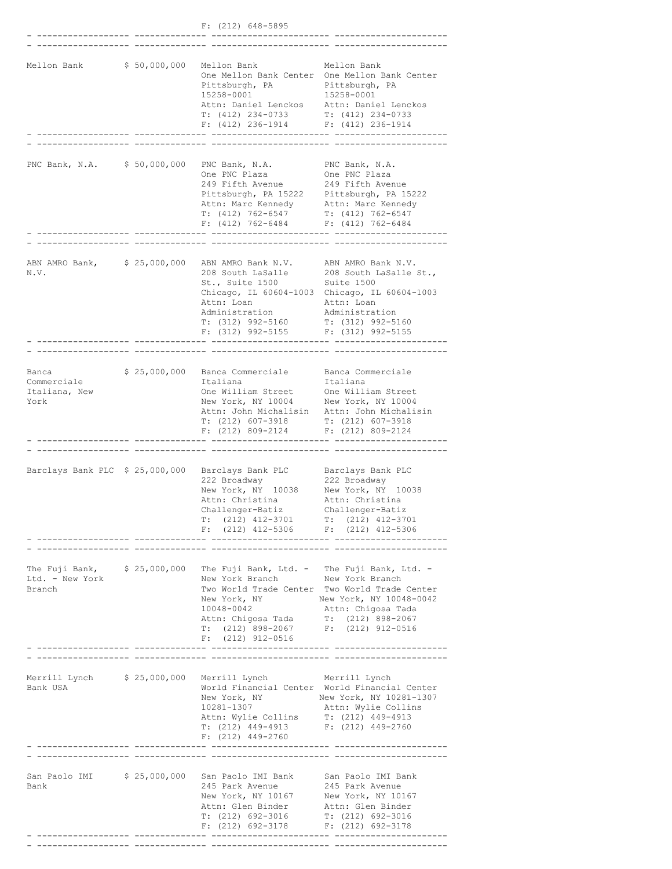|                                               |              | $F: (212) 648 - 5895$                                                                                                                                                                                              |                                                                                                                                                                     |
|-----------------------------------------------|--------------|--------------------------------------------------------------------------------------------------------------------------------------------------------------------------------------------------------------------|---------------------------------------------------------------------------------------------------------------------------------------------------------------------|
|                                               |              |                                                                                                                                                                                                                    |                                                                                                                                                                     |
| Mellon Bank                                   | \$50,000,000 | Mellon Bank<br>Pittsburgh, PA<br>15258-0001<br>Attn: Daniel Lenckos<br>T: (412) 234-0733<br>$F: (412) 236-1914$ $F: (412) 236-1914$                                                                                | Mellon Bank<br>One Mellon Bank Center One Mellon Bank Center<br>Pittsburgh, PA<br>15258-0001<br>Attn: Daniel Lenckos<br>T: (412) 234-0733                           |
|                                               |              |                                                                                                                                                                                                                    |                                                                                                                                                                     |
| PNC Bank, N.A.                                | \$50,000,000 | PNC Bank, N.A.<br>One PNC Plaza<br>249 Fifth Avenue<br>Pittsburgh, PA 15222 Pittsburgh, PA 15222<br>Attn: Marc Kennedy Attn: Marc Kennedy<br>$T: (412) 762 - 6547$<br>F: $(412)$ 762-6484 F: $(412)$ 762-6484      | PNC Bank, N.A.<br>One PNC Plaza<br>249 Fifth Avenue<br>T: (412) 762-6547<br>----- -------------                                                                     |
|                                               |              |                                                                                                                                                                                                                    |                                                                                                                                                                     |
| ABN AMRO Bank,<br>N.V.                        | \$25,000,000 | ABN AMRO Bank N.V. ABN AMRO Bank N.V.<br>208 South LaSalle<br>St., Suite 1500<br>Attn: Loan<br>Administration<br>$T: (312)$ 992-5160<br>$F: (312) 992 - 5155$                                                      | 208 South LaSalle St.,<br>Suite 1500<br>Chicago, IL 60604-1003 Chicago, IL 60604-1003<br>Attn: Loan<br>Administration<br>$T: (312) 992 - 5160$<br>F: (312) 992-5155 |
|                                               |              |                                                                                                                                                                                                                    |                                                                                                                                                                     |
| Banca<br>Commerciale<br>Italiana, New<br>York | \$25,000,000 | Banca Commerciale<br>Italiana<br>One William Street<br>New York, NY 10004 New York, NY 10004<br>T: (212) 607-3918 T: (212) 607-3918<br>$F: (212) 809 - 2124$ $F: (212) 809 - 2124$                                 | Banca Commerciale<br>Italiana<br>One William Street<br>Attn: John Michalisin Attn: John Michalisin                                                                  |
|                                               |              |                                                                                                                                                                                                                    |                                                                                                                                                                     |
|                                               |              | Barclays Bank PLC \$ 25,000,000 Barclays Bank PLC<br>222 Broadway<br>New York, NY 10038<br>Attn: Christina<br>Challenger-Batiz<br>(212) 412-3701<br>T:<br>$F: (212)$ 412-5306                                      | Barclays Bank PLC<br>222 Broadway<br>New York, NY 10038<br>Attn: Christina<br>Challenger-Batiz<br>$T: (212)$ 412-3701<br>F: (212) 412-5306                          |
|                                               | .            |                                                                                                                                                                                                                    |                                                                                                                                                                     |
| Ltd. - New York<br>Branch                     |              | The Fuji Bank, \$25,000,000 The Fuji Bank, Ltd. - The Fuji Bank, Ltd. -<br>New York Branch<br>New York, NY<br>10048-0042<br>Attn: Chigosa Tada T: (212) 898-2067<br>$T: (212) 898 - 2067$<br>$F: (212) 912 - 0516$ | New York Branch<br>Two World Trade Center Two World Trade Center<br>New York, NY 10048-0042<br>Attn: Chigosa Tada<br>$F: (212) 912-0516$                            |
| Bank USA                                      |              | Merrill Lynch \$25,000,000 Merrill Lynch Merrill Lynch<br>New York, NY<br>10281-1307<br>Attn: Wylie Collins T: (212) 449-4913<br>T: (212) 449-4913<br>$F: (212)$ 449-2760                                          | World Financial Center World Financial Center<br>New York, NY 10281-1307<br>Attn: Wylie Collins<br>F: (212) 449-2760                                                |
|                                               |              |                                                                                                                                                                                                                    |                                                                                                                                                                     |
| Bank                                          |              | San Paolo IMI \$ 25,000,000 San Paolo IMI Bank San Paolo IMI Bank<br>245 Park Avenue<br>New York, NY 10167 New York, NY 10167<br>Attn: Glen Binder<br>T: (212) 692-3016<br>$F: (212) 692 - 3178$                   | 245 Park Avenue<br>Attn: Glen Binder<br>$T: (212) 692-3016$<br>F: (212) 692-3178                                                                                    |
|                                               |              |                                                                                                                                                                                                                    |                                                                                                                                                                     |